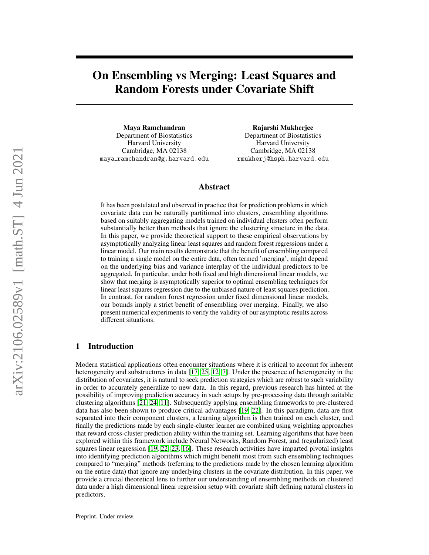# On Ensembling vs Merging: Least Squares and Random Forests under Covariate Shift

Maya Ramchandran Department of Biostatistics Harvard University Cambridge, MA 02138 maya ramchandran@g.harvard.edu

Rajarshi Mukherjee Department of Biostatistics Harvard University Cambridge, MA 02138 rmukherj@hsph.harvard.edu

## Abstract

It has been postulated and observed in practice that for prediction problems in which covariate data can be naturally partitioned into clusters, ensembling algorithms based on suitably aggregating models trained on individual clusters often perform substantially better than methods that ignore the clustering structure in the data. In this paper, we provide theoretical support to these empirical observations by asymptotically analyzing linear least squares and random forest regressions under a linear model. Our main results demonstrate that the benefit of ensembling compared to training a single model on the entire data, often termed 'merging', might depend on the underlying bias and variance interplay of the individual predictors to be aggregated. In particular, under both fixed and high dimensional linear models, we show that merging is asymptotically superior to optimal ensembling techniques for linear least squares regression due to the unbiased nature of least squares prediction. In contrast, for random forest regression under fixed dimensional linear models, our bounds imply a strict benefit of ensembling over merging. Finally, we also present numerical experiments to verify the validity of our asymptotic results across different situations.

# 1 Introduction

Modern statistical applications often encounter situations where it is critical to account for inherent heterogeneity and substructures in data [\[17,](#page-9-0) [25,](#page-10-0) [12,](#page-9-1) [7\]](#page-9-2). Under the presence of heterogeneity in the distribution of covariates, it is natural to seek prediction strategies which are robust to such variability in order to accurately generalize to new data. In this regard, previous research has hinted at the possibility of improving prediction accuracy in such setups by pre-processing data through suitable clustering algorithms [\[21,](#page-10-1) [24,](#page-10-2) [11\]](#page-9-3). Subsequently applying ensembling frameworks to pre-clustered data has also been shown to produce critical advantages [\[19,](#page-9-4) [22\]](#page-10-3). In this paradigm, data are first separated into their component clusters, a learning algorithm is then trained on each cluster, and finally the predictions made by each single-cluster learner are combined using weighting approaches that reward cross-cluster prediction ability within the training set. Learning algorithms that have been explored within this framework include Neural Networks, Random Forest, and (regularized) least squares linear regression [\[19,](#page-9-4) [22,](#page-10-3) [23,](#page-10-4) [16\]](#page-9-5). These research activities have imparted pivotal insights into identifying prediction algorithms which might benefit most from such ensembling techniques compared to "merging" methods (referring to the predictions made by the chosen learning algorithm on the entire data) that ignore any underlying clusters in the covariate distribution. In this paper, we provide a crucial theoretical lens to further our understanding of ensembling methods on clustered data under a high dimensional linear regression setup with covariate shift defining natural clusters in predictors.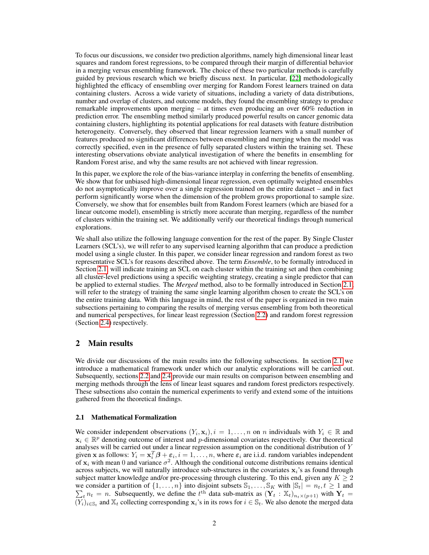To focus our discussions, we consider two prediction algorithms, namely high dimensional linear least squares and random forest regressions, to be compared through their margin of differential behavior in a merging versus ensembling framework. The choice of these two particular methods is carefully guided by previous research which we briefly discuss next. In particular, [\[22\]](#page-10-3) methodologically highlighted the efficacy of ensembling over merging for Random Forest learners trained on data containing clusters. Across a wide variety of situations, including a variety of data distributions, number and overlap of clusters, and outcome models, they found the ensembling strategy to produce remarkable improvements upon merging – at times even producing an over 60% reduction in prediction error. The ensembling method similarly produced powerful results on cancer genomic data containing clusters, highlighting its potential applications for real datasets with feature distribution heterogeneity. Conversely, they observed that linear regression learners with a small number of features produced no significant differences between ensembling and merging when the model was correctly specified, even in the presence of fully separated clusters within the training set. These interesting observations obviate analytical investigation of where the benefits in ensembling for Random Forest arise, and why the same results are not achieved with linear regression.

In this paper, we explore the role of the bias-variance interplay in conferring the benefits of ensembling. We show that for unbiased high-dimensional linear regression, even optimally weighted ensembles do not asymptotically improve over a single regression trained on the entire dataset – and in fact perform significantly worse when the dimension of the problem grows proportional to sample size. Conversely, we show that for ensembles built from Random Forest learners (which are biased for a linear outcome model), ensembling is strictly more accurate than merging, regardless of the number of clusters within the training set. We additionally verify our theoretical findings through numerical explorations.

We shall also utilize the following language convention for the rest of the paper. By Single Cluster Learners (SCL's), we will refer to any supervised learning algorithm that can produce a prediction model using a single cluster. In this paper, we consider linear regression and random forest as two representative SCL's for reasons described above. The term *Ensemble*, to be formally introduced in Section [2.1,](#page-1-0) will indicate training an SCL on each cluster within the training set and then combining all cluster-level predictions using a specific weighting strategy, creating a single predictor that can be applied to external studies. The *Merged* method, also to be formally introduced in Section [2.1,](#page-1-0) will refer to the strategy of training the same single learning algorithm chosen to create the SCL's on the entire training data. With this language in mind, the rest of the paper is organized in two main subsections pertaining to comparing the results of merging versus ensembling from both theoretical and numerical perspectives, for linear least regression (Section [2.2\)](#page-2-0) and random forest regression (Section [2.4\)](#page-5-0) respectively.

## 2 Main results

We divide our discussions of the main results into the following subsections. In section [2.1](#page-1-0) we introduce a mathematical framework under which our analytic explorations will be carried out. Subsequently, sections [2.2](#page-2-0) and [2.4](#page-5-0) provide our main results on comparison between ensembling and merging methods through the lens of linear least squares and random forest predictors respectively. These subsections also contain the numerical experiments to verify and extend some of the intuitions gathered from the theoretical findings.

#### <span id="page-1-0"></span>2.1 Mathematical Formalization

We consider independent observations  $(Y_i, \mathbf{x}_i)$ ,  $i = 1, \ldots, n$  on n individuals with  $Y_i \in \mathbb{R}$  and  $\mathbf{x}_i \in \mathbb{R}^p$  denoting outcome of interest and p-dimensional covariates respectively. Our theoretical analyses will be carried out under a linear regression assumption on the conditional distribution of Y given x as follows:  $Y_i = \mathbf{x}_i^T \boldsymbol{\beta} + \boldsymbol{\varepsilon}_i, i = 1, \dots, n$ , where  $\boldsymbol{\varepsilon}_i$  are i.i.d. random variables independent of  $x_i$  with mean 0 and variance  $\sigma^2$ . Although the conditional outcome distributions remains identical across subjects, we will naturally introduce sub-structures in the covariates  $x_i$ 's as found through subject matter knowledge and/or pre-processing through clustering. To this end, given any  $K \geq 2$ we consider a partition of P  $\{1,\ldots,n\}$  into disjoint subsets  $\mathbb{S}_1,\ldots,\mathbb{S}_K$  with  $|\mathbb{S}_t|=n_t, t\geq 1$  and  $t_t$   $n_t$  = n. Subsequently, we define the  $t^{\text{th}}$  data sub-matrix as  $(\mathbf{Y}_t : \mathbb{X}_t)_{n_t \times (p+1)}$  with  $\mathbf{Y}_t$  =  $(\overline{Y}_i)_{i \in \mathbb{S}_t}$  and  $\mathbb{X}_t$  collecting corresponding  $x_i$ 's in its rows for  $i \in \mathbb{S}_t$ . We also denote the merged data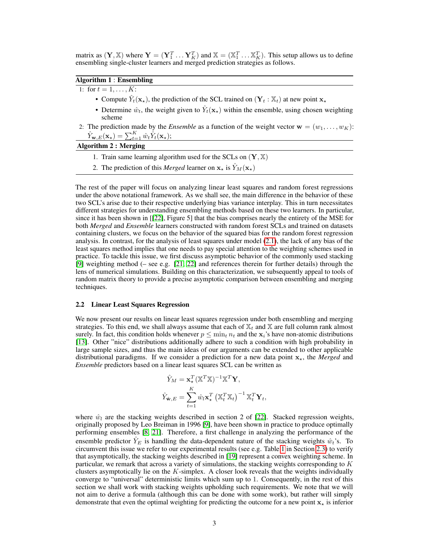matrix as  $(Y, X)$  where  $Y = (Y_1^T \dots Y_K^T)$  and  $X = (X_1^T \dots X_K^T)$ . This setup allows us to define ensembling single-cluster learners and merged prediction strategies as follows.

## Algorithm 1 : Ensembling

1: for  $t = 1, ..., K$ :

- Compute  $\hat{Y}_t(\mathbf{x}_\star)$ , the prediction of the SCL trained on  $(\mathbf{Y}_t : \mathbb{X}_t)$  at new point  $\mathbf{x}_\star$
- Determine  $\hat{w}_t$ , the weight given to  $\hat{Y}_t(\mathbf{x}_\star)$  within the ensemble, using chosen weighting scheme
- 2: The prediction made by the *Ensemble* as a function of the weight vector  $\mathbf{w} = (w_1, \dots, w_K)$ :  $\hat{Y}_{\textbf{w},E}(\textbf{x}_\star) = \sum_{t=1}^K \hat{w}_t \hat{Y}_t(\textbf{x}_\star);$

# Algorithm 2 : Merging

- 1. Train same learning algorithm used for the SCLs on  $(Y, X)$
- 2. The prediction of this *Merged* learner on  $x_{\star}$  is  $\hat{Y}_M(x_{\star})$

The rest of the paper will focus on analyzing linear least squares and random forest regressions under the above notational framework. As we shall see, the main difference in the behavior of these two SCL's arise due to their respective underlying bias variance interplay. This in turn necessitates different strategies for understanding ensembling methods based on these two learners. In particular, since it has been shown in [[\[22\]](#page-10-3), Figure 5] that the bias comprises nearly the entirety of the MSE for both *Merged* and *Ensemble* learners constructed with random forest SCLs and trained on datasets containing clusters, we focus on the behavior of the squared bias for the random forest regression analysis. In contrast, for the analysis of least squares under model [\(2.1\)](#page-1-0), the lack of any bias of the least squares method implies that one needs to pay special attention to the weighting schemes used in practice. To tackle this issue, we first discuss asymptotic behavior of the commonly used stacking [\[9\]](#page-9-6) weighting method (– see e.g. [\[21,](#page-10-1) [22\]](#page-10-3) and references therein for further details) through the lens of numerical simulations. Building on this characterization, we subsequently appeal to tools of random matrix theory to provide a precise asymptotic comparison between ensembling and merging techniques.

## <span id="page-2-0"></span>2.2 Linear Least Squares Regression

We now present our results on linear least squares regression under both ensembling and merging strategies. To this end, we shall always assume that each of  $X_t$  and X are full column rank almost surely. In fact, this condition holds whenever  $p \le \min_t n_t$  and the  $\mathbf{x}_i$ 's have non-atomic distributions [\[13\]](#page-9-7). Other "nice" distributions additionally adhere to such a condition with high probability in large sample sizes, and thus the main ideas of our arguments can be extended to other applicable distributional paradigms. If we consider a prediction for a new data point  $x<sub>*</sub>$ , the *Merged* and *Ensemble* predictors based on a linear least squares SCL can be written as

$$
\hat{Y}_M = \mathbf{x}_\star^T (\mathbb{X}^T \mathbb{X})^{-1} \mathbb{X}^T \mathbf{Y},
$$
\n
$$
\hat{Y}_{\hat{\mathbf{w}}, E} = \sum_{t=1}^K \hat{w}_l \mathbf{x}_\star^T (\mathbb{X}_t^T \mathbb{X}_t)^{-1} \mathbb{X}_t^T \mathbf{Y}_t,
$$

where  $\hat{w}_l$  are the stacking weights described in section 2 of [\[22\]](#page-10-3). Stacked regression weights, originally proposed by Leo Breiman in 1996 [\[9\]](#page-9-6), have been shown in practice to produce optimally performing ensembles [\[8,](#page-9-8) [21\]](#page-10-1). Therefore, a first challenge in analyzing the performance of the ensemble predictor  $\hat{Y}_E$  is handling the data-dependent nature of the stacking weights  $\hat{w}_t$ 's. To circumvent this issue we refer to our experimental results (see e.g. Table [1](#page-4-0) in Section [2.3\)](#page-4-1) to verify that asymptotically, the stacking weights described in [\[19\]](#page-9-4) represent a convex weighting scheme. In particular, we remark that across a variety of simulations, the stacking weights corresponding to  $K$ clusters asymptotically lie on the  $K$ -simplex. A closer look reveals that the weights individually converge to "universal" deterministic limits which sum up to 1. Consequently, in the rest of this section we shall work with stacking weights upholding such requirements. We note that we will not aim to derive a formula (although this can be done with some work), but rather will simply demonstrate that even the optimal weighting for predicting the outcome for a new point  $x<sub>x</sub>$  is inferior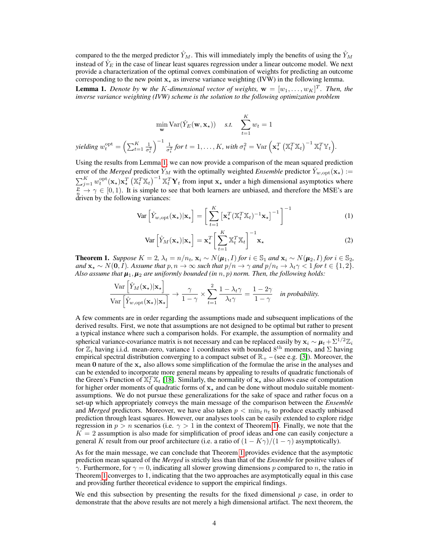compared to the the merged predictor  $\hat{Y}_M$ . This will immediately imply the benefits of using the  $\hat{Y}_M$ instead of  $\hat{Y}_E$  in the case of linear least squares regression under a linear outcome model. We next provide a characterization of the optimal convex combination of weights for predicting an outcome corresponding to the new point  $x<sub>x</sub>$  as inverse variance weighting (IVW) in the following lemma.

<span id="page-3-0"></span>**Lemma 1.** Denote by w the K-dimensional vector of weights,  $\mathbf{w} = [w_1, \dots, w_K]^T$ . Then, the *inverse variance weighting (IVW) scheme is the solution to the following optimization problem*

$$
\min_{\mathbf{w}} \text{Var}(\hat{Y}_E(\mathbf{w}, \mathbf{x}_\star)) \quad \text{s.t.} \quad \sum_{t=1}^K w_t = 1
$$
\n
$$
\text{yielding } w_t^{\text{opt}} = \left(\sum_{t=1}^K \frac{1}{\sigma_t^2}\right)^{-1} \frac{1}{\sigma_t^2} \text{ for } t = 1, \dots, K, \text{ with } \sigma_t^2 = \text{Var}\left(\mathbf{x}_\star^T \left(\mathbb{X}_t^T \mathbb{X}_t\right)^{-1} \mathbb{X}_t^T \mathbb{Y}_t\right).
$$

Using the results from Lemma [1,](#page-3-0) we can now provide a comparison of the mean squared prediction error of the *Merged* predictor  $\hat{Y}_M$  with the optimally weighted *Ensemble* predictor  $\hat{Y}_{w,\text{opt}}(\mathbf{x}_\star)$  :=  $\sum_{j=1}^K w_t^{\text{opt}}(\mathbf{x}_\star)\mathbf{x}_\star^T \left(\mathbb{X}_t^T\mathbb{X}_t\right)^{-1} \mathbb{X}_t^T \mathbf{Y}_t$  from input  $\mathbf{x}_\star$  under a high dimensional asymptotics where  $\frac{p}{p} \rightarrow \gamma \in [0, 1)$ . It is simple to see that both learners are unbiased, and therefore the MSE's are driven by the following variances:

$$
\text{Var}\left[\hat{Y}_{w,\text{opt}}(\mathbf{x}_{\star})|\mathbf{x}_{\star}\right] = \left[\sum_{t=1}^{K} \left[\mathbf{x}_{\star}^{T}(\mathbb{X}_{t}^{T}\mathbb{X}_{t})^{-1}\mathbf{x}_{\star}\right]^{-1}\right]^{-1}
$$
(1)

$$
\text{Var}\left[\hat{Y}_M(\mathbf{x}_\star)|\mathbf{x}_\star\right] = \mathbf{x}_\star^T \bigg[\sum_{t=1}^K \mathbb{X}_t^T \mathbb{X}_t\bigg]^{-1} \mathbf{x}_\star
$$
 (2)

<span id="page-3-1"></span>**Theorem 1.** *Suppose*  $K = 2$ ,  $\lambda_t = n/n_t$ ,  $\mathbf{x}_i \sim N(\boldsymbol{\mu}_1, I)$  *for*  $i \in \mathbb{S}_1$  *and*  $\mathbf{x}_i \sim N(\boldsymbol{\mu}_2, I)$  *for*  $i \in \mathbb{S}_2$ , *and*  $\mathbf{x}_* \sim N(\mathbf{0}, I)$ *. Assume that*  $p, n \to \infty$  *such that*  $p/n \to \gamma$  *and*  $p/n_t \to \lambda_t \gamma < 1$  *for*  $t \in \{1, 2\}$ *. Also assume that*  $\mu_1, \mu_2$  *are uniformly bounded (in* n, p) norm. Then, the following holds:

$$
\frac{\text{Var}\left[\hat{Y}_M(\mathbf{x}_\star)|\mathbf{x}_\star\right]}{\text{Var}\left[\hat{Y}_{w,\text{opt}}(\mathbf{x}_\star)|\mathbf{x}_\star\right]} \to \frac{\gamma}{1-\gamma} \times \sum_{t=1}^2 \frac{1-\lambda_t\gamma}{\lambda_t\gamma} = \frac{1-2\gamma}{1-\gamma} \quad \text{in probability.}
$$

A few comments are in order regarding the assumptions made and subsequent implications of the derived results. First, we note that assumptions are not designed to be optimal but rather to present a typical instance where such a comparison holds. For example, the assumption of normality and spherical variance-covariance matrix is not necessary and can be replaced easily by  $x_i \sim \mu_t + \Sigma^{1/2} \mathbb{Z}_i$ for  $\mathbb{Z}_i$  having i.i.d. mean-zero, variance 1 coordinates with bounded  $8^{\text{th}}$  moments, and  $\Sigma$  having empirical spectral distribution converging to a compact subset of  $\mathbb{R}_+$  – (see e.g. [\[3\]](#page-9-9)). Moreover, the mean 0 nature of the  $x<sub>\star</sub>$  also allows some simplification of the formulae the arise in the analyses and can be extended to incorporate more general means by appealing to results of quadratic functionals of the Green's Function of  $\mathbb{X}_t^T \mathbb{X}_t$  [\[18\]](#page-9-10). Similarly, the normality of  $\mathbf{x}_\star$  also allows ease of computation for higher order moments of quadratic forms of  $x<sub>x</sub>$  and can be done without modulo suitable momentassumptions. We do not pursue these generalizations for the sake of space and rather focus on a set-up which appropriately conveys the main message of the comparison between the *Ensemble* and *Merged* predictors. Moreover, we have also taken  $p < \min_t n_t$  to produce exactly unbiased prediction through least squares. However, our analyses tools can be easily extended to explore ridge regression in  $p > n$  scenarios (i.e.  $\gamma > 1$  in the context of Theorem [1\)](#page-3-1). Finally, we note that the  $K = 2$  assumption is also made for simplification of proof ideas and one can easily conjecture a general K result from our proof architecture (i.e. a ratio of  $(1 - K\gamma)/(1 - \gamma)$  asymptotically).

As for the main message, we can conclude that Theorem [1](#page-3-1) provides evidence that the asymptotic prediction mean squared of the *Merged* is strictly less than that of the *Ensemble* for positive values of  $\gamma$ . Furthermore, for  $\gamma = 0$ , indicating all slower growing dimensions p compared to n, the ratio in Theorem [1](#page-3-1) converges to 1, indicating that the two approaches are asymptotically equal in this case and providing further theoretical evidence to support the empirical findings.

We end this subsection by presenting the results for the fixed dimensional  $p$  case, in order to demonstrate that the above results are not merely a high dimensional artifact. The next theorem, the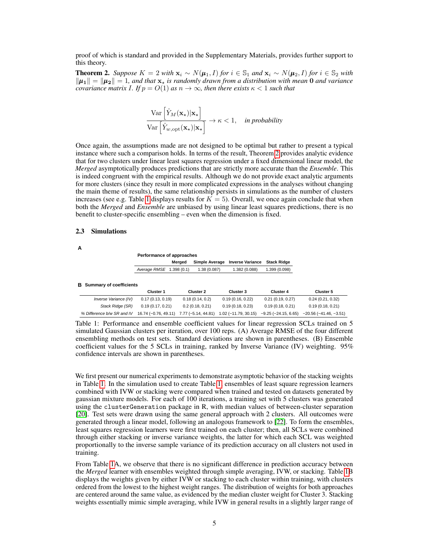proof of which is standard and provided in the Supplementary Materials, provides further support to this theory.

<span id="page-4-2"></span>**Theorem 2.** *Suppose*  $K = 2$  *with*  $\mathbf{x}_i \sim N(\boldsymbol{\mu}_1, I)$  *for*  $i \in \mathbb{S}_1$  *and*  $\mathbf{x}_i \sim N(\boldsymbol{\mu}_2, I)$  *for*  $i \in \mathbb{S}_2$  *with*  $\|\mu_1\| = \|\mu_2\| = 1$ , and that  $x_{\star}$  is randomly drawn from a distribution with mean 0 and variance *covariance matrix I. If*  $p = O(1)$  *as*  $n \to \infty$ *, then there exists*  $\kappa < 1$  *such that* 

$$
\frac{\text{Var}\left[\hat{Y}_M(\mathbf{x}_\star)|\mathbf{x}_\star\right]}{\text{Var}\left[\hat{Y}_{w,\text{opt}}(\mathbf{x}_\star)|\mathbf{x}_\star\right]} \to \kappa < 1, \quad \text{in probability}
$$

Once again, the assumptions made are not designed to be optimal but rather to present a typical instance where such a comparison holds. In terms of the result, Theorem [2](#page-4-2) provides analytic evidence that for two clusters under linear least squares regression under a fixed dimensional linear model, the *Merged* asymptotically produces predictions that are strictly more accurate than the *Ensemble*. This is indeed congruent with the empirical results. Although we do not provide exact analytic arguments for more clusters (since they result in more complicated expressions in the analyses without changing the main theme of results), the same relationship persists in simulations as the number of clusters increases (see e.g. Table [1](#page-4-0) displays results for  $K = 5$ ). Overall, we once again conclude that when both the *Merged* and *Ensemble* are unbiased by using linear least squares predictions, there is no benefit to cluster-specific ensembling – even when the dimension is fixed.

## <span id="page-4-1"></span>2.3 Simulations

| A                                    |                           |                          |                         |                       |                         |
|--------------------------------------|---------------------------|--------------------------|-------------------------|-----------------------|-------------------------|
|                                      | Performance of approaches |                          |                         |                       |                         |
|                                      |                           | Meraed<br>Simple Average | <b>Inverse Variance</b> | <b>Stack Ridge</b>    |                         |
|                                      | Average RMSE 1.398 (0.1)  | 1.38 (0.087)             | 1.382 (0.088)           | 1.399 (0.098)         |                         |
| <b>Summary of coefficients</b><br>в. |                           |                          |                         |                       |                         |
|                                      | <b>Cluster 1</b>          | Cluster 2                | Cluster 3               | Cluster 4             | Cluster 5               |
| Inverse Variance (IV)                | 0.17(0.13, 0.19)          | 0.18(0.14, 0.2)          | 0.19(0.16, 0.22)        | 0.21(0.19, 0.27)      | 0.24(0.21, 0.32)        |
| Stack Ridge (SR)                     | 0.19(0.17, 0.21)          | 0.2(0.18, 0.21)          | 0.19(0.18, 0.23)        | 0.19(0.18, 0.21)      | 0.19(0.18, 0.21)        |
| % Difference b/w SR and IV           | 16.74 (-0.76, 49.11)      | $7.77(-5.14, 44.81)$     | $1.02(-11.79.30.15)$    | $-9.25(-24.15, 6.65)$ | $-20.56(-41.46, -3.51)$ |

<span id="page-4-0"></span>Table 1: Performance and ensemble coefficient values for linear regression SCLs trained on 5 simulated Gaussian clusters per iteration, over 100 reps. (A) Average RMSE of the four different ensembling methods on test sets. Standard deviations are shown in parentheses. (B) Ensemble coefficient values for the 5 SCLs in training, ranked by Inverse Variance (IV) weighting. 95% confidence intervals are shown in parentheses.

We first present our numerical experiments to demonstrate asymptotic behavior of the stacking weights in Table [1.](#page-4-0) In the simulation used to create Table [1,](#page-4-0) ensembles of least square regression learners combined with IVW or stacking were compared when trained and tested on datasets generated by gaussian mixture models. For each of 100 iterations, a training set with 5 clusters was generated using the clusterGeneration package in R, with median values of between-cluster separation [\[20\]](#page-10-5). Test sets were drawn using the same general approach with 2 clusters. All outcomes were generated through a linear model, following an analogous framework to [\[22\]](#page-10-3). To form the ensembles, least squares regression learners were first trained on each cluster; then, all SCLs were combined through either stacking or inverse variance weights, the latter for which each SCL was weighted proportionally to the inverse sample variance of its prediction accuracy on all clusters not used in training.

From Table [1A](#page-4-0), we observe that there is no significant difference in prediction accuracy between the *Merged* learner with ensembles weighted through simple averaging, IVW, or stacking. Table [1B](#page-4-0) displays the weights given by either IVW or stacking to each cluster within training, with clusters ordered from the lowest to the highest weight ranges. The distribution of weights for both approaches are centered around the same value, as evidenced by the median cluster weight for Cluster 3. Stacking weights essentially mimic simple averaging, while IVW in general results in a slightly larger range of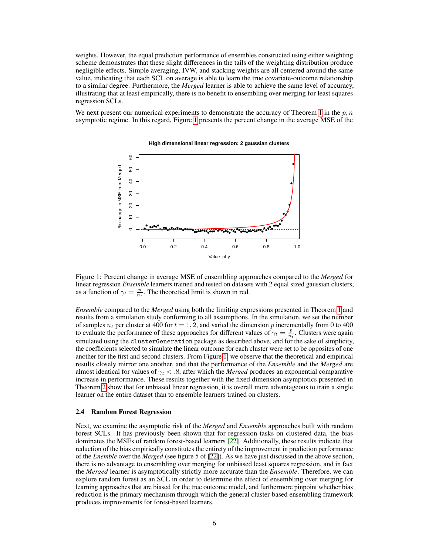weights. However, the equal prediction performance of ensembles constructed using either weighting scheme demonstrates that these slight differences in the tails of the weighting distribution produce negligible effects. Simple averaging, IVW, and stacking weights are all centered around the same value, indicating that each SCL on average is able to learn the true covariate-outcome relationship to a similar degree. Furthermore, the *Merged* learner is able to achieve the same level of accuracy, illustrating that at least empirically, there is no benefit to ensembling over merging for least squares regression SCLs.

We next present our numerical experiments to demonstrate the accuracy of Theorem [1](#page-3-1) in the  $p, n$ asymptotic regime. In this regard, Figure [1](#page-5-1) presents the percent change in the average MSE of the



#### <span id="page-5-1"></span>**High dimensional linear regression: 2 gaussian clusters**

Figure 1: Percent change in average MSE of ensembling approaches compared to the *Merged* for linear regression *Ensemble* learners trained and tested on datasets with 2 equal sized gaussian clusters, as a function of  $\gamma_t = \frac{p}{n_t}$ . The theoretical limit is shown in red.

*Ensemble* compared to the *Merged* using both the limiting expressions presented in Theorem [1](#page-3-1) and results from a simulation study conforming to all assumptions. In the simulation, we set the number of samples  $n_t$  per cluster at 400 for  $t = 1, 2$ , and varied the dimension p incrementally from 0 to 400 to evaluate the performance of these approaches for different values of  $\gamma_t = \frac{p}{n_t}$ . Clusters were again simulated using the clusterGeneration package as described above, and for the sake of simplicity, the coefficients selected to simulate the linear outcome for each cluster were set to be opposites of one another for the first and second clusters. From Figure [1,](#page-5-1) we observe that the theoretical and empirical results closely mirror one another, and that the performance of the *Ensemble* and the *Merged* are almost identical for values of  $\gamma_t < .8$ , after which the *Merged* produces an exponential comparative increase in performance. These results together with the fixed dimension asymptotics presented in Theorem [2](#page-4-2) show that for unbiased linear regression, it is overall more advantageous to train a single learner on the entire dataset than to ensemble learners trained on clusters.

#### <span id="page-5-0"></span>2.4 Random Forest Regression

Next, we examine the asymptotic risk of the *Merged* and *Ensemble* approaches built with random forest SCLs. It has previously been shown that for regression tasks on clustered data, the bias dominates the MSEs of random forest-based learners [\[22\]](#page-10-3). Additionally, these results indicate that reduction of the bias empirically constitutes the entirety of the improvement in prediction performance of the *Enemble* over the *Merged* (see figure 5 of [\[22\]](#page-10-3)). As we have just discussed in the above section, there is no advantage to ensembling over merging for unbiased least squares regression, and in fact the *Merged* learner is asymptotically strictly more accurate than the *Ensemble*. Therefore, we can explore random forest as an SCL in order to determine the effect of ensembling over merging for learning approaches that are biased for the true outcome model, and furthermore pinpoint whether bias reduction is the primary mechanism through which the general cluster-based ensembling framework produces improvements for forest-based learners.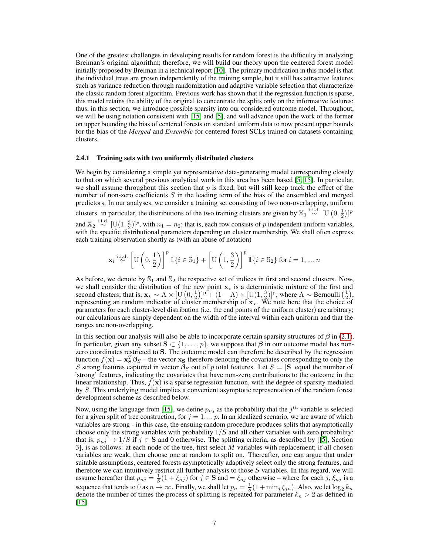One of the greatest challenges in developing results for random forest is the difficulty in analyzing Breiman's original algorithm; therefore, we will build our theory upon the centered forest model initially proposed by Breiman in a technical report [\[10\]](#page-9-11). The primary modification in this model is that the individual trees are grown independently of the training sample, but it still has attractive features such as variance reduction through randomization and adaptive variable selection that characterize the classic random forest algorithm. Previous work has shown that if the regression function is sparse, this model retains the ability of the original to concentrate the splits only on the informative features; thus, in this section, we introduce possible sparsity into our considered outcome model. Throughout, we will be using notation consistent with [\[15\]](#page-9-12) and [\[5\]](#page-9-13), and will advance upon the work of the former on upper bounding the bias of centered forests on standard uniform data to now present upper bounds for the bias of the *Merged* and *Ensemble* for centered forest SCLs trained on datasets containing clusters.

#### 2.4.1 Training sets with two uniformly distributed clusters

We begin by considering a simple yet representative data-generating model corresponding closely to that on which several previous analytical work in this area has been based [\[5,](#page-9-13) [15\]](#page-9-12). In particular, we shall assume throughout this section that  $p$  is fixed, but will still keep track the effect of the number of non-zero coefficients  $S$  in the leading term of the bias of the ensembled and merged predictors. In our analyses, we consider a training set consisting of two non-overlapping, uniform clusters. in particular, the distributions of the two training clusters are given by  $\mathbb{X}_1 \stackrel{\text{i.i.d.}}{\sim} [\text{U}(0, \frac{1}{2})]^p$ and  $\mathbb{X}_2 \stackrel{\text{i.i.d.}}{\sim} [U(1, \frac{3}{2})]^p$ , with  $n_1 = n_2$ ; that is, each row consists of p independent uniform variables, with the specific distributional parameters depending on cluster membership. We shall often express each training observation shortly as (with an abuse of notation)

$$
\mathbf{x}_i \stackrel{\mathrm{i.i.d.}}{\sim} \left[\mathrm{U}\left(0,\frac{1}{2}\right)\right]^p \mathbbm{1}\{i \in \mathbb{S}_1\} + \left[\mathrm{U}\left(1,\frac{3}{2}\right)\right]^p \mathbbm{1}\{i \in \mathbb{S}_2\} \text{ for } i=1,...,n
$$

As before, we denote by  $\mathbb{S}_1$  and  $\mathbb{S}_2$  the respective set of indices in first and second clusters. Now, we shall consider the distribution of the new point  $x<sub>*</sub>$  is a deterministic mixture of the first and second clusters; that is,  $\mathbf{x}_\star \sim A \times [\mathbf{U}(0, \frac{1}{2})]^p + (1 - A) \times [\mathbf{U}(1, \frac{3}{2})]^p$ , where  $A \sim \text{Bernoulli}(\frac{1}{2})$ , representing an random indicator of cluster membership of  $x<sub>*</sub>$ . We note here that the choice of parameters for each cluster-level distribution (i.e. the end points of the uniform cluster) are arbitrary; our calculations are simply dependent on the width of the interval within each uniform and that the ranges are non-overlapping.

In this section our analysis will also be able to incorporate certain sparsity structures of  $\beta$  in [\(2.1\)](#page-1-0). In particular, given any subset  $S \subset \{1, \ldots, p\}$ , we suppose that  $\beta$  in our outcome model has nonzero coordinates restricted to S. The outcome model can therefore be described by the regression function  $f(\mathbf{x}) = \mathbf{x}_S^T \mathbf{\beta}_S$  – the vector  $\mathbf{x}_S$  therefore denoting the covariates corresponding to only the S strong features captured in vector  $\beta_S$  out of p total features. Let  $S = |S|$  equal the number of 'strong' features, indicating the covariates that have non-zero contributions to the outcome in the linear relationship. Thus,  $f(x)$  is a sparse regression function, with the degree of sparsity mediated by S. This underlying model implies a convenient asymptotic representation of the random forest development scheme as described below.

Now, using the language from [\[15\]](#page-9-12), we define  $p_{nj}$  as the probability that the  $j^{th}$  variable is selected for a given split of tree construction, for  $j = 1, ..., p$ . In an idealized scenario, we are aware of which variables are strong - in this case, the ensuing random procedure produces splits that asymptotically choose only the strong variables with probability  $1/S$  and all other variables with zero probability; that is,  $p_{ni} \to 1/S$  if  $j \in S$  and 0 otherwise. The splitting criteria, as described by [[\[5\]](#page-9-13), Section 3], is as follows: at each node of the tree, first select  $M$  variables with replacement; if all chosen variables are weak, then choose one at random to split on. Thereafter, one can argue that under suitable assumptions, centered forests asymptotically adaptively select only the strong features, and therefore we can intuitively restrict all further analysis to those S variables. In this regard, we will assume hereafter that  $p_{nj} = \frac{1}{S}(1 + \xi_{nj})$  for  $j \in S$  and  $= \xi_{nj}$  otherwise – where for each  $j, \xi_{nj}$  is a sequence that tends to 0 as  $n \to \infty$ . Finally, we shall let  $p_n = \frac{1}{S}(1 + \min_j \xi_{jn})$ . Also, we let  $\log_2 k_n$ denote the number of times the process of splitting is repeated for parameter  $k_n > 2$  as defined in  $[15]$ .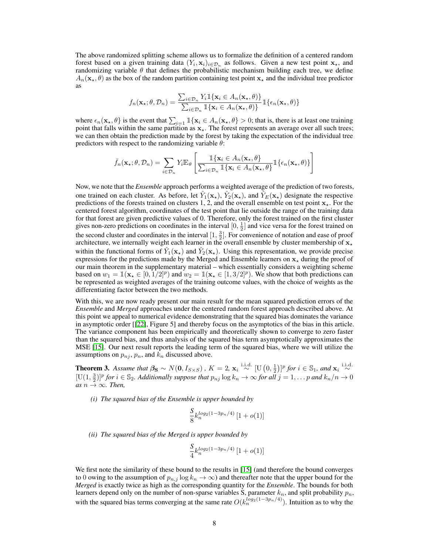The above randomized splitting scheme allows us to formalize the definition of a centered random forest based on a given training data  $(Y_i, \mathbf{x}_i)_{i \in \mathcal{D}_n}$  as follows. Given a new test point  $\mathbf{x}_\star$ , and randomizing variable  $\theta$  that defines the probabilistic mechanism building each tree, we define  $A_n(\mathbf{x}, \theta)$  as the box of the random partition containing test point  $\mathbf{x}_*$  and the individual tree predictor as

$$
f_n(\mathbf{x}_\star;\theta,\mathcal{D}_n) = \frac{\sum_{i \in \mathcal{D}_n} Y_i \mathbb{1}\{\mathbf{x}_i \in A_n(\mathbf{x}_\star,\theta)\}}{\sum_{i \in \mathcal{D}_n} \mathbb{1}\{\mathbf{x}_i \in A_n(\mathbf{x}_\star,\theta)\}} \mathbb{1}\{\epsilon_n(\mathbf{x}_\star,\theta)\}
$$

where  $\epsilon_n(\mathbf{x}_\star, \theta)$  is the event that  $\sum_{i=1} \mathbb{1}\{\mathbf{x}_i \in A_n(\mathbf{x}_\star, \theta) > 0\}$ ; that is, there is at least one training point that falls within the same partition as  $x_{\star}$ . The forest represents an average over all such trees; we can then obtain the prediction made by the forest by taking the expectation of the individual tree predictors with respect to the randomizing variable  $\theta$ :

$$
\bar{f}_n(\mathbf{x}_\star;\theta,\mathcal{D}_n) = \sum_{i\in\mathcal{D}_n} Y_i \mathbb{E}_{\theta} \left[ \frac{\mathbb{1}\{\mathbf{x}_i \in A_n(\mathbf{x}_\star,\theta\}}{\sum_{i\in\mathcal{D}_n} \mathbb{1}\{\mathbf{x}_i \in A_n(\mathbf{x}_\star,\theta\}} \mathbb{1}\{\epsilon_n(\mathbf{x}_\star,\theta)\} \right]
$$

Now, we note that the *Ensemble* approach performs a weighted average of the prediction of two forests, one trained on each cluster. As before, let  $\hat{Y}_1(\mathbf{x}_\star)$ ,  $\hat{Y}_2(\mathbf{x}_\star)$ , and  $\hat{Y}_E(\mathbf{x}_\star)$  designate the respective predictions of the forests trained on clusters 1, 2, and the overall ensemble on test point  $x<sub>*</sub>$ . For the centered forest algorithm, coordinates of the test point that lie outside the range of the training data for that forest are given predictive values of 0. Therefore, only the forest trained on the first cluster gives non-zero predictions on coordinates in the interval  $[0, \frac{1}{2}]$  and vice versa for the forest trained on the second cluster and coordinates in the interval  $[1, \frac{3}{2}]$ . For convenience of notation and ease of proof architecture, we internally weight each learner in the overall ensemble by cluster membership of  $x_{\star}$ within the functional forms of  $\hat{Y}_1(\mathbf{x}_\star)$  and  $\hat{Y}_2(\mathbf{x}_\star)$ . Using this representation, we provide precise expressions for the predictions made by the Merged and Ensemble learners on  $x<sub>*</sub>$  during the proof of our main theorem in the supplementary material – which essentially considers a weighting scheme based on  $w_1 = \mathbb{1}(\mathbf{x}_* \in [0, 1/2]^p)$  and  $w_2 = \mathbb{1}(\mathbf{x}_* \in [1, 3/2]^p)$ . We show that both predictions can be represented as weighted averages of the training outcome values, with the choice of weights as the differentiating factor between the two methods.

With this, we are now ready present our main result for the mean squared prediction errors of the *Ensemble* and *Merged* approaches under the centered random forest approach described above. At this point we appeal to numerical evidence demonstrating that the squared bias dominates the variance in asymptotic order [[\[22\]](#page-10-3), Figure 5] and thereby focus on the asymptotics of the bias in this article. The variance component has been empirically and theoretically shown to converge to zero faster than the squared bias, and thus analysis of the squared bias term asymptotically approximates the MSE [\[15\]](#page-9-12). Our next result reports the leading term of the squared bias, where we will utilize the assumptions on  $p_{nj}$ ,  $p_n$ , and  $k_n$  discussed above.

<span id="page-7-0"></span>**Theorem 3.** Assume that  $\beta_{\mathbf{S}} \sim N(\mathbf{0}, I_{S \times S})$  ,  $K = 2$ ,  $\mathbf{x}_i \stackrel{\text{i.i.d.}}{\sim} [\mathrm{U}(0, \frac{1}{2})]^p$  for  $i \in \mathbb{S}_1$ , and  $\mathbf{x}_i \stackrel{\text{i.i.d.}}{\sim}$  $[U(1, \frac{3}{2})]^p$  for  $i \in \mathbb{S}_2$ . Additionally suppose that  $p_{nj} \log k_n \to \infty$  for all  $j = 1, \ldots p$  and  $k_n/n \to 0$  $as n \rightarrow \infty$ *. Then,* 

*(i) The squared bias of the Ensemble is upper bounded by*

$$
\frac{S}{8}k_n^{\log_2(1-3p_n/4)}\left[1+o(1)\right]
$$

*(ii) The squared bias of the Merged is upper bounded by*

$$
\frac{S}{4} k_n^{log_2(1-3p_n/4)} \left[ 1 + o(1) \right]
$$

We first note the similarity of these bound to the results in [\[15\]](#page-9-12) (and therefore the bound converges to 0 owing to the assumption of  $p_{n,j} \log k_n \to \infty$ ) and thereafter note that the upper bound for the *Merged* is exactly twice as high as the corresponding quantity for the *Ensemble*. The bounds for both learners depend only on the number of non-sparse variables S, parameter  $k_n$ , and split probability  $p_n$ , with the squared bias terms converging at the same rate  $O(k_n^{\log_2(1-3p_n/4)})$ . Intuition as to why the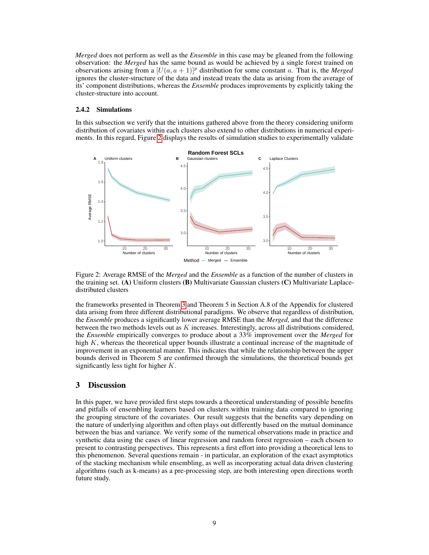*Merged* does not perform as well as the *Ensemble* in this case may be gleaned from the following observation: the *Merged* has the same bound as would be achieved by a single forest trained on observations arising from a  $[U(a, a + 1)]^p$  distribution for some constant a. That is, the *Merged* ignores the cluster-structure of the data and instead treats the data as arising from the average of its' component distributions, whereas the *Ensemble* produces improvements by explicitly taking the cluster-structure into account.

## 2.4.2 Simulations

In this subsection we verify that the intuitions gathered above from the theory considering uniform distribution of covariates within each clusters also extend to other distributions in numerical experiments. In this regard, Figure [2](#page-8-0) displays the results of simulation studies to experimentally validate



<span id="page-8-0"></span>Figure 2: Average RMSE of the *Merged* and the *Ensemble* as a function of the number of clusters in the training set. (A) Uniform clusters (B) Multivariate Gaussian clusters (C) Multivariate Laplacedistributed clusters

the frameworks presented in Theorem [3](#page-7-0) and Theorem 5 in Section A.8 of the Appendix for clustered data arising from three different distributional paradigms. We observe that regardless of distribution, the *Ensemble* produces a significantly lower average RMSE than the *Merged*, and that the difference between the two methods levels out as  $K$  increases. Interestingly, across all distributions considered, the *Ensemble* empirically converges to produce about a 33% improvement over the *Merged* for high  $K$ , whereas the theoretical upper bounds illustrate a continual increase of the magnitude of improvement in an exponential manner. This indicates that while the relationship between the upper bounds derived in Theorem 5 are confirmed through the simulations, the theoretical bounds get significantly less tight for higher  $K$ .

## 3 Discussion

In this paper, we have provided first steps towards a theoretical understanding of possible benefits and pitfalls of ensembling learners based on clusters within training data compared to ignoring the grouping structure of the covariates. Our result suggests that the benefits vary depending on the nature of underlying algorithm and often plays out differently based on the mutual dominance between the bias and variance. We verify some of the numerical observations made in practice and synthetic data using the cases of linear regression and random forest regression – each chosen to present to contrasting perspectives. This represents a first effort into providing a theoretical lens to this phenomenon. Several questions remain - in particular, an exploration of the exact asymptotics of the stacking mechanism while ensembling, as well as incorporating actual data driven clustering algorithms (such as k-means) as a pre-processing step, are both interesting open directions worth future study.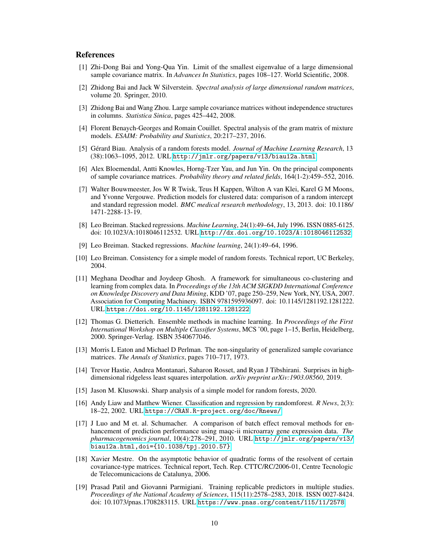# **References**

- <span id="page-9-15"></span>[1] Zhi-Dong Bai and Yong-Qua Yin. Limit of the smallest eigenvalue of a large dimensional sample covariance matrix. In *Advances In Statistics*, pages 108–127. World Scientific, 2008.
- <span id="page-9-14"></span>[2] Zhidong Bai and Jack W Silverstein. *Spectral analysis of large dimensional random matrices*, volume 20. Springer, 2010.
- <span id="page-9-9"></span>[3] Zhidong Bai and Wang Zhou. Large sample covariance matrices without independence structures in columns. *Statistica Sinica*, pages 425–442, 2008.
- <span id="page-9-18"></span>[4] Florent Benaych-Georges and Romain Couillet. Spectral analysis of the gram matrix of mixture models. *ESAIM: Probability and Statistics*, 20:217–237, 2016.
- <span id="page-9-13"></span>[5] Gérard Biau. Analysis of a random forests model. *Journal of Machine Learning Research*, 13 (38):1063–1095, 2012. URL <http://jmlr.org/papers/v13/biau12a.html>.
- <span id="page-9-16"></span>[6] Alex Bloemendal, Antti Knowles, Horng-Tzer Yau, and Jun Yin. On the principal components of sample covariance matrices. *Probability theory and related fields*, 164(1-2):459–552, 2016.
- <span id="page-9-2"></span>[7] Walter Bouwmeester, Jos W R Twisk, Teus H Kappen, Wilton A van Klei, Karel G M Moons, and Yvonne Vergouwe. Prediction models for clustered data: comparison of a random intercept and standard regression model. *BMC medical research methodology*, 13, 2013. doi: 10.1186/ 1471-2288-13-19.
- <span id="page-9-8"></span>[8] Leo Breiman. Stacked regressions. *Machine Learning*, 24(1):49–64, July 1996. ISSN 0885-6125. doi: 10.1023/A:1018046112532. URL <http://dx.doi.org/10.1023/A:1018046112532>.
- <span id="page-9-6"></span>[9] Leo Breiman. Stacked regressions. *Machine learning*, 24(1):49–64, 1996.
- <span id="page-9-11"></span>[10] Leo Breiman. Consistency for a simple model of random forests. Technical report, UC Berkeley, 2004.
- <span id="page-9-3"></span>[11] Meghana Deodhar and Joydeep Ghosh. A framework for simultaneous co-clustering and learning from complex data. In *Proceedings of the 13th ACM SIGKDD International Conference on Knowledge Discovery and Data Mining*, KDD '07, page 250–259, New York, NY, USA, 2007. Association for Computing Machinery. ISBN 9781595936097. doi: 10.1145/1281192.1281222. URL <https://doi.org/10.1145/1281192.1281222>.
- <span id="page-9-1"></span>[12] Thomas G. Dietterich. Ensemble methods in machine learning. In *Proceedings of the First International Workshop on Multiple Classifier Systems*, MCS '00, page 1–15, Berlin, Heidelberg, 2000. Springer-Verlag. ISBN 3540677046.
- <span id="page-9-7"></span>[13] Morris L Eaton and Michael D Perlman. The non-singularity of generalized sample covariance matrices. *The Annals of Statistics*, pages 710–717, 1973.
- <span id="page-9-17"></span>[14] Trevor Hastie, Andrea Montanari, Saharon Rosset, and Ryan J Tibshirani. Surprises in highdimensional ridgeless least squares interpolation. *arXiv preprint arXiv:1903.08560*, 2019.
- <span id="page-9-12"></span>[15] Jason M. Klusowski. Sharp analysis of a simple model for random forests, 2020.
- <span id="page-9-5"></span>[16] Andy Liaw and Matthew Wiener. Classification and regression by randomforest. *R News*, 2(3): 18–22, 2002. URL <https://CRAN.R-project.org/doc/Rnews/>.
- <span id="page-9-0"></span>[17] J Luo and M et. al. Schumacher. A comparison of batch effect removal methods for enhancement of prediction performance using maqc-ii microarray gene expression data. *The pharmacogenomics journal*, 10(4):278–291, 2010. URL [http://jmlr.org/papers/v13/](http://jmlr.org/papers/v13/biau12a.html, doi = {10.1038/tpj.2010.57}) [biau12a.html,doi={10.1038/tpj.2010.57}](http://jmlr.org/papers/v13/biau12a.html, doi = {10.1038/tpj.2010.57}).
- <span id="page-9-10"></span>[18] Xavier Mestre. On the asymptotic behavior of quadratic forms of the resolvent of certain covariance-type matrices. Technical report, Tech. Rep. CTTC/RC/2006-01, Centre Tecnologic de Telecomunicacions de Catalunya, 2006.
- <span id="page-9-4"></span>[19] Prasad Patil and Giovanni Parmigiani. Training replicable predictors in multiple studies. *Proceedings of the National Academy of Sciences*, 115(11):2578–2583, 2018. ISSN 0027-8424. doi: 10.1073/pnas.1708283115. URL <https://www.pnas.org/content/115/11/2578>.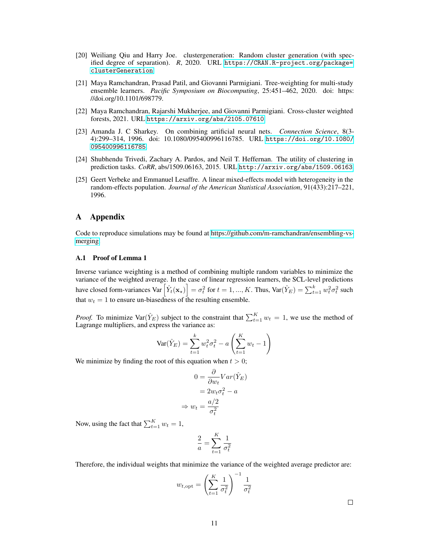- <span id="page-10-5"></span>[20] Weiliang Qiu and Harry Joe. clustergeneration: Random cluster generation (with specified degree of separation). *R*, 2020. URL [https://CRAN.R-project.org/package=](https://CRAN.R-project.org/package=clusterGeneration) [clusterGeneration](https://CRAN.R-project.org/package=clusterGeneration).
- <span id="page-10-1"></span>[21] Maya Ramchandran, Prasad Patil, and Giovanni Parmigiani. Tree-weighting for multi-study ensemble learners. *Pacific Symposium on Biocomputing*, 25:451–462, 2020. doi: https: //doi.org/10.1101/698779.
- <span id="page-10-3"></span>[22] Maya Ramchandran, Rajarshi Mukherjee, and Giovanni Parmigiani. Cross-cluster weighted forests, 2021. URL <https://arxiv.org/abs/2105.07610>.
- <span id="page-10-4"></span>[23] Amanda J. C Sharkey. On combining artificial neural nets. *Connection Science*, 8(3- 4):299–314, 1996. doi: 10.1080/095400996116785. URL [https://doi.org/10.1080/](https://doi.org/10.1080/095400996116785) [095400996116785](https://doi.org/10.1080/095400996116785).
- <span id="page-10-2"></span>[24] Shubhendu Trivedi, Zachary A. Pardos, and Neil T. Heffernan. The utility of clustering in prediction tasks. *CoRR*, abs/1509.06163, 2015. URL <http://arxiv.org/abs/1509.06163>.
- <span id="page-10-0"></span>[25] Geert Verbeke and Emmanuel Lesaffre. A linear mixed-effects model with heterogeneity in the random-effects population. *Journal of the American Statistical Association*, 91(433):217–221, 1996.

## A Appendix

Code to reproduce simulations may be found at [https://github.com/m-ramchandran/ensembling-vs](https://github.com/m-ramchandran/ensembling-vs-merging)[merging.](https://github.com/m-ramchandran/ensembling-vs-merging)

## A.1 Proof of Lemma 1

Inverse variance weighting is a method of combining multiple random variables to minimize the variance of the weighted average. In the case of linear regression learners, the SCL-level predictions have closed form-variances Var  $\left[ \hat{Y}_t(\mathbf{x}_\star) \right] = \sigma_t^2$  for  $t = 1, ..., K$ . Thus, Var $(\hat{Y}_E) = \sum_{t=1}^k w_t^2 \sigma_t^2$  such that  $w_t = 1$  to ensure un-biasedness of the resulting ensemble.

*Proof.* To minimize  $\text{Var}(\hat{Y}_E)$  subject to the constraint that  $\sum_{t=1}^{K} w_t = 1$ , we use the method of Lagrange multipliers, and express the variance as:

$$
Var(\hat{Y}_E) = \sum_{t=1}^{k} w_t^2 \sigma_t^2 - a \left( \sum_{t=1}^{K} w_t - 1 \right)
$$

We minimize by finding the root of this equation when  $t > 0$ ;

 $\Rightarrow$ 

$$
0 = \frac{\partial}{\partial w_t} Var(\hat{Y}_E)
$$
  
=  $2w_t \sigma_t^2 - a$   

$$
w_t = \frac{a/2}{\sigma_t^2}
$$

Now, using the fact that  $\sum_{t=1}^{K} w_t = 1$ ,

$$
\frac{2}{a} = \sum_{t=1}^{K} \frac{1}{\sigma_t^2}
$$

Therefore, the individual weights that minimize the variance of the weighted average predictor are:

$$
w_{t,\text{opt}} = \left(\sum_{t=1}^{K} \frac{1}{\sigma_t^2}\right)^{-1} \frac{1}{\sigma_t^2}
$$

 $\Box$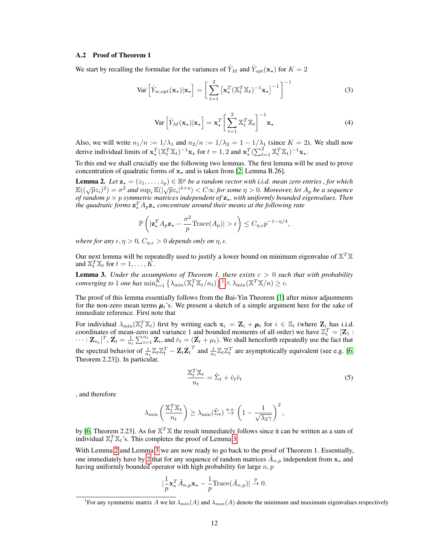#### A.2 Proof of Theorem 1

We start by recalling the formulae for the variances of  $\hat{Y}_M$  and  $\hat{Y}_{opt}(\mathbf{x}_*)$  for  $K = 2$ 

$$
\text{Var}\left[\hat{Y}_{w,\text{opt}}(\mathbf{x}_{\star})|\mathbf{x}_{\star}\right] = \left[\sum_{t=1}^{2} \left[\mathbf{x}_{\star}^{T}(\mathbb{X}_{t}^{T}\mathbb{X}_{t})^{-1}\mathbf{x}_{\star}\right]^{-1}\right]^{-1}
$$
(3)

<span id="page-11-4"></span><span id="page-11-3"></span>
$$
\text{Var}\left[\hat{Y}_M(\mathbf{x}_\star)|\mathbf{x}_\star\right] = \mathbf{x}_\star^T \bigg[\sum_{t=1}^2 \mathbb{X}_t^T \mathbb{X}_t\bigg]^{-1} \mathbf{x}_\star \tag{4}
$$

Also, we will write  $n_1/n := 1/\lambda_1$  and  $n_2/n := 1/\lambda_2 = 1 - 1/\lambda_1$  (since  $K = 2$ ). We shall now derive individual limits of  $\mathbf{x}_*^T (\mathbb{X}_t^T \mathbb{X}_t)^{-1} \mathbf{x}_*$  for  $t = 1, 2$  and  $\mathbf{x}_*^T (\sum_{t=1}^2 \mathbb{X}_t^T \mathbb{X}_t)^{-1} \mathbf{x}_*$ .

To this end we shall crucially use the following two lemmas. The first lemma will be used to prove concentration of quadratic forms of  $x<sub>*</sub>$  and is taken from [\[2,](#page-9-14) Lemma B.26].

<span id="page-11-2"></span>**Lemma 2.** Let  $\mathbf{z}_\star = (z_1, \ldots, z_p) \in \mathbb{R}^p$  be a random vector with i.i.d. mean zero entries, for which  $\mathbb{E}((\sqrt{p}z_i)^2) = \sigma^2$  and  $\sup_i \mathbb{E}(|\sqrt{p}z_i|^{4+\eta}) < C \infty$  for some  $\eta > 0$ . Moreover, let  $A_p$  be a sequence *of random* p × p *symmetric matrices independent of* z?*, with uniformly bounded eigenvalues. Then* the quadratic forms  $\mathbf{z}_\star^T A_p \mathbf{z}_\star$  concentrate around their means at the following rate

$$
\mathbb{P}\left(|\mathbf{z}_\star^T A_p \mathbf{z}_\star - \frac{\sigma^2}{p} \text{Trace}(A_p)| > \epsilon\right) \le C_{\eta, \epsilon} p^{-1 - \eta/4},
$$

*where for any*  $\epsilon, \eta > 0$ ,  $C_{\eta, \epsilon} > 0$  *depends only on*  $\eta, \epsilon$ .

Our next lemma will be repeatedly used to justify a lower bound on minimum eigenvalue of  $X^T X$ and  $\mathbb{X}_t^T \mathbb{X}_t$  for  $t = 1, \ldots, K$ .

<span id="page-11-1"></span>Lemma 3. *Under the assumptions of Theorem 1, there exists* c > 0 *such that with probability converging to* [1](#page-11-0) *one has*  $\min_{t=1}^K \left\{ \lambda_{\min}(\mathbb{X}_t^T \mathbb{X}_t/n_t) \right\}^1 \wedge \lambda_{\min}(\mathbb{X}^T \mathbb{X}/n) \ge c$ .

The proof of this lemma essentially follows from the Bai-Yin Theorem [\[1\]](#page-9-15) after minor adjustments for the non-zero mean terms  $\mu_t$ 's. We present a sketch of a simple argument here for the sake of immediate reference. First note that

For individual  $\lambda_{\min}(\mathbb{X}_t^T \mathbb{X}_t)$  first by writing each  $\mathbf{x}_i = \mathbf{Z}_i + \boldsymbol{\mu}_t$  for  $i \in \mathbb{S}_t$  (where  $\mathbf{Z}_i$  has i.i.d. coordinates of mean-zero and variance 1 and bounded moments of all order) we have  $\mathbb{Z}_t^T = [\mathbf{Z}_1 :$  $\cdots$ :  $\mathbf{Z}_{n_t}$ ]<sup>T</sup>,  $\bar{\mathbf{Z}}_t = \frac{1}{n_t} \sum_{i=1}^{n_t} \mathbf{Z}_i$ , and  $\hat{v}_t = (\bar{\mathbf{Z}}_t + \mu_t)$ . We shall henceforth repeatedly use the fact that the spectral behavior of  $\frac{1}{n_t} \mathbb{Z}_t \mathbb{Z}_t^T - \bar{\mathbf{Z}}_t \bar{\mathbf{Z}}_t^T$  and  $\frac{1}{n_t} \mathbb{Z}_t \mathbb{Z}_t^T$  are asymptotically equivalent (see e.g. [\[6,](#page-9-16) Theorem 2.23]). In particular,

<span id="page-11-5"></span>
$$
\frac{\mathbf{X}_t^T \mathbf{X}_t}{n_t} = \tilde{\Sigma}_t + \hat{v}_t \hat{v}_t \tag{5}
$$

, and therefore

$$
\lambda_{\min}\left(\frac{\mathbb{X}_t^T\mathbb{X}_t}{n_t}\right) \ge \lambda_{\min}(\tilde{\Sigma}_t) \stackrel{a.s.}{\to} \left(1 - \frac{1}{\sqrt{\lambda_2\gamma}}\right)^2,
$$

by [\[6,](#page-9-16) Theorem 2.23]. As for  $X^T X$  the result immediately follows since it can be written as a sum of individual  $\mathbb{X}_t^T \mathbb{X}_t$ 's. This completes the proof of Lemma [3.](#page-11-1)

With Lemma [2](#page-11-2) and Lemma [3](#page-11-1) we are now ready to go back to the proof of Theorem 1. Essentially, one immediately have by [2](#page-11-2) that for any sequence of random matrices  $\hat{A}_{n,p}$  independent from  $\mathbf{x}_{\star}$  and having uniformly bounded operator with high probability for large  $n, p$ 

$$
|\frac{1}{p}\mathbf{x}_{\star}^T\hat{A}_{n,p}\mathbf{x}_{\star}-\frac{1}{p}\text{Trace}(\hat{A}_{n,p})|\overset{\mathbb{P}}{\to}0.
$$

<span id="page-11-0"></span><sup>&</sup>lt;sup>1</sup>For any symmetric matrix A we let  $\lambda_{\min}(A)$  and  $\lambda_{\max}(A)$  denote the minimum and maximum eigenvalues respectively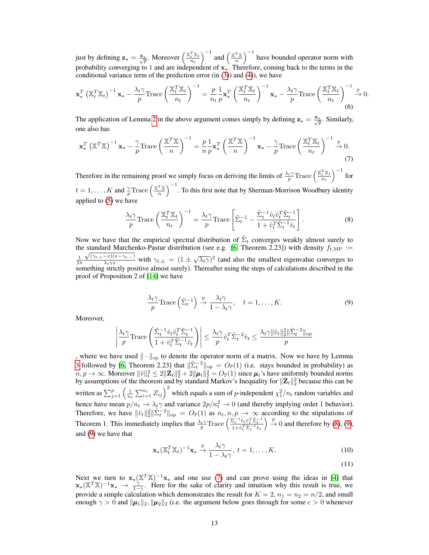just by defining  $\mathbf{z}_\star = \frac{\mathbf{x}_\star}{\sqrt{p}}$ . Moreover  $\left(\frac{\mathbb{X}_t^T \mathbb{X}_t}{n_t}\right)^{-1}$  and  $\left(\frac{\mathbb{X}_t^T \mathbb{X}_t}{n_t}\right)$  $\left(\frac{T_X}{n}\right)^{-1}$  have bounded operator norm with probability converging to 1 and are independent of  $x<sub>1</sub>$ . Therefore, coming back to the terms in the conditional variance term of the prediction error  $(in (3))$  $(in (3))$  $(in (3))$  and  $(4)$ , we have

$$
\mathbf{x}_{\star}^{T} \left( \mathbb{X}_{t}^{T} \mathbb{X}_{t} \right)^{-1} \mathbf{x}_{\star} - \frac{\lambda_{t} \gamma}{p} \text{Trace} \left( \frac{\mathbb{X}_{t}^{T} \mathbb{X}_{t}}{n_{t}} \right)^{-1} = \frac{p}{n_{t}} \frac{1}{p} \mathbf{x}_{\star}^{T} \left( \frac{\mathbb{X}_{t}^{T} \mathbb{X}_{t}}{n_{t}} \right)^{-1} \mathbf{x}_{\star} - \frac{\lambda_{t} \gamma}{p} \text{Trace} \left( \frac{\mathbb{X}_{t}^{T} \mathbb{X}_{t}}{n_{t}} \right)^{-1} \stackrel{\mathbb{P}}{\to} 0. \tag{6}
$$

The application of Lemma [2](#page-11-2) in the above argument comes simply by defining  $z_{\star} = \frac{x_{\star}}{\sqrt{p}}$ . Similarly, one also has

$$
\mathbf{x}_{\star}^{T} \left( \mathbb{X}^{T} \mathbb{X} \right)^{-1} \mathbf{x}_{\star} - \frac{\gamma}{p} \text{Trace} \left( \frac{\mathbb{X}^{T} \mathbb{X}}{n} \right)^{-1} = \frac{p}{n} \frac{1}{p} \mathbf{x}_{\star}^{T} \left( \frac{\mathbb{X}^{T} \mathbb{X}}{n} \right)^{-1} \mathbf{x}_{\star} - \frac{\gamma}{p} \text{Trace} \left( \frac{\mathbb{X}_{t}^{T} \mathbb{X}_{t}}{n_{t}} \right)^{-1} \stackrel{\mathbb{P}}{\to} 0. \tag{7}
$$

Therefore in the remaining proof we simply focus on deriving the limits of  $\frac{\lambda_t \gamma}{p}$  Trace  $\left(\frac{\mathbb{X}_t^T \mathbb{X}_t}{n_t}\right)^{-1}$  for  $t = 1, \ldots, K$  and  $\frac{\gamma}{p}$ Trace  $\left(\frac{\mathbb{X}^T\mathbb{X}}{n}\right)$  $\left(\frac{T_{\frac{N}{M}}}{n}\right)^{-1}$ . To this first note that by Sherman-Morrison Woodbury identity applied to [\(5\)](#page-11-5) we have

<span id="page-12-2"></span>
$$
\frac{\lambda_t \gamma}{p} \text{Trace}\left(\frac{\mathbb{X}_t^T \mathbb{X}_t}{n_t}\right)^{-1} = \frac{\lambda_t \gamma}{p} \text{Trace}\left[\tilde{\Sigma}_t^{-1} - \frac{\tilde{\Sigma}_t^{-1} \hat{v}_t \hat{v}_t^T \tilde{\Sigma}_t^{-1}}{1 + \hat{v}_t^T \tilde{\Sigma}_t^{-1} \hat{v}_t}\right].\tag{8}
$$

Now we have that the empirical spectral distribution of  $\tilde{\Sigma}_t$  converges weakly almost surely to the standard Marchenko-Pastur distribution (see e.g. [\[6,](#page-9-16) Theorem 2.23]) with density  $f_{t,MP} :=$  $\frac{1}{2\pi}$  $(\gamma_{t,+}-x)(x-\gamma_{t,-})$  $\frac{-x(x-\gamma_{t,-})}{\lambda_t \gamma x}$  with  $\gamma_{t,\pm} = (1 \pm \sqrt{\lambda_t \gamma})^2$  (and also the smallest eigenvalue converges to something strictly positive almost surely). Thereafter using the steps of calculations described in the proof of Proposition 2 of [\[14\]](#page-9-17) we have

<span id="page-12-0"></span>
$$
\frac{\lambda_t \gamma}{p} \text{Trace}\left(\tilde{\Sigma}_t^{-1}\right) \stackrel{\mathbb{P}}{\to} \frac{\lambda_t \gamma}{1 - \lambda_t \gamma}, \quad t = 1, \dots, K. \tag{9}
$$

Moreover,

 $\overline{\phantom{a}}$  $\overline{\phantom{a}}$  $\overline{\phantom{a}}$  $\overline{\phantom{a}}$  $\overline{\phantom{a}}$ 

$$
\frac{\lambda_t \gamma}{p} \text{Trace}\left(\frac{\tilde{\Sigma}_t^{-1} \hat{v}_t \hat{v}_t^T \tilde{\Sigma}_t^{-1}}{1 + \hat{v}_t^T \tilde{\Sigma}_t^{-1} \hat{v}_t}\right) \le \frac{\lambda_t \gamma}{p} \hat{v}_t^T \tilde{\Sigma}_t^{-2} \hat{v}_t \le \frac{\lambda_t \gamma \|\hat{v}_t\|_2^2 \|\tilde{\Sigma}_t^{-2}\|_{\text{op}}}{p}
$$

, where we have used  $\|\cdot\|_{\text{op}}$  to denote the operator norm of a matrix. Now we have by Lemma [3](#page-11-1) followed by [\[6,](#page-9-16) Theorem 2.23] that  $\|\tilde{\Sigma}_t^{-2}\|_{\text{op}} = O_{\mathbb{P}}(1)$  (i.e. stays bounded in probability) as  $n, p \to \infty$ . Moreover  $||\hat{v}||_t^2 \leq 2||\bar{\mathbf{Z}}_t||_2^2 + 2||\mu_t||_2^2 = O_{\mathbb{P}}(1)$  since  $\mu_t$ 's have uniformly bounded norms by assumptions of the theorem and by standard Markov's Inequality for  $\|\bar{\mathbf{Z}}_t\|_2^2$  because this can be written as  $\sum_{j=1}^p \left(\frac{1}{n_t} \sum_{i=1}^{n_t} Z_{ij}\right)^2$  which equals a sum of *p*-independent  $\chi^2_1/n_t$  random variables and hence have mean  $p/n_t \to \lambda_t \gamma$  and variance  $2p/n_t^2 \to 0$  (and thereby implying order 1 behavior). Therefore, we have  $\|\hat{v}_t\|_2^2 \|\tilde{\Sigma}_t^{-2}\|_{\text{op}} = O_\mathbb{P}(1)$  as  $n_t, n, p \to \infty$  according to the stipulations of Theorem 1. This immediately implies that  $\frac{\lambda_t \gamma}{p} \text{Trace}\left( \frac{\tilde{\Sigma}_t^{-1} \hat{v}_t \hat{v}_t^T \tilde{\Sigma}_t^{-1}}{1 + \hat{v}_t^T \tilde{\Sigma}_t^{-1} \hat{v}_t} \right)$  $\Big) \stackrel{\mathbb{P}}{\rightarrow} 0$  and therefore by [\(8\)](#page-12-0), [\(9\)](#page-12-1), and [\(9\)](#page-12-1) we have that

$$
\mathbf{x}_{\star}(\mathbb{X}_t^T \mathbb{X}_t)^{-1} \mathbf{x}_{\star} \xrightarrow{\mathbb{P}} \frac{\lambda_t \gamma}{1 - \lambda_t \gamma}, \ t = 1, \dots, K. \tag{10}
$$

<span id="page-12-1"></span>(11)

Next we turn to  $x_*(X^T X)^{-1} x_*$  and one use [\(7\)](#page-12-2) and can prove using the ideas in [\[4\]](#page-9-18) that  $\mathbf{x}_\star (\mathbb{X}^T \mathbb{X})^{-1} \mathbf{x}_\star \to \frac{\gamma}{1-\gamma}$ . Here for the sake of clarity and intuition why this result is true, we provide a simple calculation which demonstrates the result for  $K = 2$ ,  $n_1 = n_2 = n/2$ , and small enough  $\gamma > 0$  and  $\|\mu_1\|_2$ ,  $\|\mu_2\|_2$  (i.e. the argument below goes through for some  $c > 0$  whenever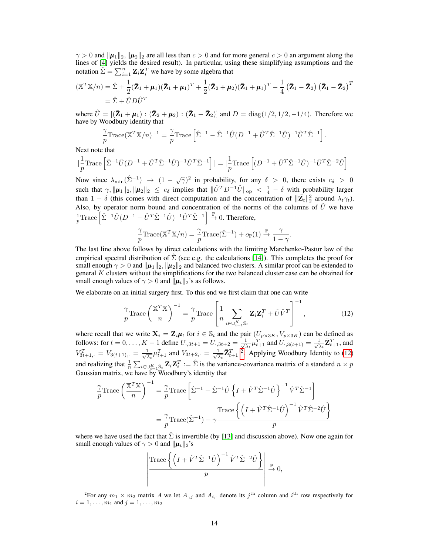$\gamma > 0$  and  $\|\mu_1\|_2$ ,  $\|\mu_2\|_2$  are all less than  $c > 0$  and for more general  $c > 0$  an argument along the lines of [\[4\]](#page-9-18) yields the desired result). In particular, using these simplifying assumptions and the notation  $\hat{\Sigma} = \sum_{i=1}^{n} \mathbf{Z}_i \mathbf{Z}_i^T$  we have by some algebra that

$$
(\mathbb{X}^T \mathbb{X}/n) = \hat{\Sigma} + \frac{1}{2} (\bar{\mathbf{Z}}_1 + \boldsymbol{\mu}_1)(\bar{\mathbf{Z}}_1 + \boldsymbol{\mu}_1)^T + \frac{1}{2} (\bar{\mathbf{Z}}_2 + \boldsymbol{\mu}_2)(\bar{\mathbf{Z}}_1 + \boldsymbol{\mu}_1)^T - \frac{1}{4} (\bar{\mathbf{Z}}_1 - \bar{\mathbf{Z}}_2) (\bar{\mathbf{Z}}_1 - \bar{\mathbf{Z}}_2)^T
$$
  
=  $\hat{\Sigma} + \hat{U} D \hat{U}^T$ 

where  $\hat{U} = [(\bar{\mathbf{Z}}_1 + \boldsymbol{\mu}_1) : (\bar{\mathbf{Z}}_2 + \boldsymbol{\mu}_2) : (\bar{\mathbf{Z}}_1 - \bar{\mathbf{Z}}_2)]$  and  $D = \text{diag}(1/2, 1/2, -1/4)$ . Therefore we have by Woodbury identity that

$$
\frac{\gamma}{p} \text{Trace}(\mathbb{X}^T \mathbb{X}/n)^{-1} = \frac{\gamma}{p} \text{Trace}\left[\hat{\Sigma}^{-1} - \hat{\Sigma}^{-1} \hat{U} (D^{-1} + \hat{U}^T \hat{\Sigma}^{-1} \hat{U})^{-1} \hat{U}^T \hat{\Sigma}^{-1}\right].
$$

Next note that

$$
|\frac{1}{p} \text{Trace}\left[\hat{\Sigma}^{-1}\hat{U}(D^{-1}+\hat{U}^T\hat{\Sigma}^{-1}\hat{U})^{-1}\hat{U}^T\hat{\Sigma}^{-1}\right]|=|\frac{1}{p} \text{Trace}\left[(D^{-1}+\hat{U}^T\hat{\Sigma}^{-1}\hat{U})^{-1}\hat{U}^T\hat{\Sigma}^{-2}\hat{U}\right]|
$$

Now since  $\lambda_{\min}(\hat{\Sigma}^{-1}) \to (1 - \sqrt{\gamma})^2$  in probability, for any  $\delta > 0$ , there exists  $c_{\delta} > 0$ such that  $\gamma$ ,  $\|\mu_1\|_2$ ,  $\|\mu_2\|_2 \leq c_\delta$  implies that  $\|\hat{U}^T D^{-1}\hat{U}\|_{op} < \frac{1}{4} - \delta$  with probability larger than  $1 - \delta$  (this comes with direct computation and the concentration of  $\|\bar{\mathbf{Z}}_t\|_2^2$  around  $\lambda_t \gamma_t$ ). Also, by operator norm bound and concentration of the norms of the columns of  $\hat{U}$  we have  $\frac{1}{p}$ Trace  $\left[\hat{\Sigma}^{-1}\hat{U}(D^{-1}+\hat{U}^T\hat{\Sigma}^{-1}\hat{U})^{-1}\hat{U}^T\hat{\Sigma}^{-1}\right] \stackrel{\mathbb{P}}{\rightarrow} 0$ . Therefore,

$$
\frac{\gamma}{p} \text{Trace}(\mathbb{X}^T \mathbb{X}/n) = \frac{\gamma}{p} \text{Trace}(\hat{\Sigma}^{-1}) + o_{\mathbb{P}}(1) \overset{\mathbb{P}}{\rightarrow} \frac{\gamma}{1-\gamma}
$$

The last line above follows by direct calculations with the limiting Marchenko-Pastur law of the empirical spectral distribution of  $\hat{\Sigma}$  (see e.g. the calculations [\[14\]](#page-9-17)). This completes the proof for small enough  $\gamma > 0$  and  $\|\mu_1\|_2$ ,  $\|\mu_2\|_2$  and balanced two clusters. A similar proof can be extended to general  $K$  clusters without the simplifications for the two balanced cluster case can be obtained for small enough values of  $\gamma > 0$  and  $\|\mu_t\|_2$ 's as follows.

We elaborate on an initial surgery first. To this end we first claim that one can write

$$
\frac{\gamma}{p} \text{Trace}\left(\frac{\mathbb{X}^T \mathbb{X}}{n}\right)^{-1} = \frac{\gamma}{p} \text{Trace}\left[\frac{1}{n} \sum_{i \in \cup_{t=1}^K \mathbb{S}_t} \mathbf{Z}_i \mathbf{Z}_i^T + \hat{U} \hat{V}^T\right]^{-1},\tag{12}
$$

<span id="page-13-1"></span>.

where recall that we write  $X_i = Z_i \mu_t$  for  $i \in \mathbb{S}_t$  and the pair  $(U_{p \times 3K}, V_{p \times 3K})$  can be defined as follows: for  $t = 0, ..., K - 1$  define  $U_{\cdot, 3t+1} = U_{\cdot, 3t+2} = \frac{1}{\sqrt{2}}$  $\frac{1}{\lambda_t} \mu_{t+1}^T$  and  $U_{\cdot,3(t+1)} = \frac{1}{\sqrt{2}}$  $\frac{1}{\overline{\lambda}_t} \bar{\mathbf{Z}}_{t+1}^T$ , and  $V_{3t+1,-}^T = V_{3(t+1),-} = \frac{1}{\sqrt{2}}$  $\frac{1}{\lambda_t} \mu_{t+1}^T$  and  $V_{3t+2, \cdot} = \frac{1}{\sqrt{2}}$  $\frac{1}{\lambda_t} \bar{\mathbf{Z}}_{t+1}^T$ <sup>[2](#page-13-0)</sup>. Applying Woodbury Identity to [\(12\)](#page-13-1) and realizing that  $\frac{1}{n} \sum_{i \in \bigcup_{t=1}^{K} S_t} \mathbf{Z}_i \mathbf{Z}_i^T := \hat{\Sigma}$  is the variance-covariance mattrix of a standard  $n \times p$ Gaussian matrix, we have by Woodbury's identity that

$$
\frac{\gamma}{p}\text{Trace}\left(\frac{\mathbb{X}^T\mathbb{X}}{n}\right)^{-1} = \frac{\gamma}{p}\text{Trace}\left[\hat{\Sigma}^{-1} - \hat{\Sigma}^{-1}\hat{U}\left\{I + \hat{V}^T\hat{\Sigma}^{-1}\hat{U}\right\}^{-1}\hat{V}^T\hat{\Sigma}^{-1}\right]
$$

$$
= \frac{\gamma}{p}\text{Trace}(\hat{\Sigma}^{-1}) - \gamma\frac{\text{Trace}\left\{\left(I + \hat{V}^T\hat{\Sigma}^{-1}\hat{U}\right)^{-1}\hat{V}^T\hat{\Sigma}^{-2}\hat{U}\right\}}{p}
$$

where we have used the fact that  $\hat{\Sigma}$  is invertible (by [\[13\]](#page-9-7) and discussion above). Now one again for small enough values of  $\gamma > 0$  and  $||\mu_t||_2$ 's

$$
\left| \frac{\text{Trace}\left\{ \left( I + \hat{V}^T \hat{\Sigma}^{-1} \hat{U} \right)^{-1} \hat{V}^T \hat{\Sigma}^{-2} \hat{U} \right\}}{p} \right| \xrightarrow{\mathbb{P}} 0,
$$

<span id="page-13-0"></span><sup>&</sup>lt;sup>2</sup>For any  $m_1 \times m_2$  matrix A we let  $A_{:,j}$  and  $A_{i,:}$  denote its  $j^{\text{th}}$  column and  $i^{\text{th}}$  row respectively for  $i = 1, \ldots, m_1$  and  $j = 1, \ldots, m_2$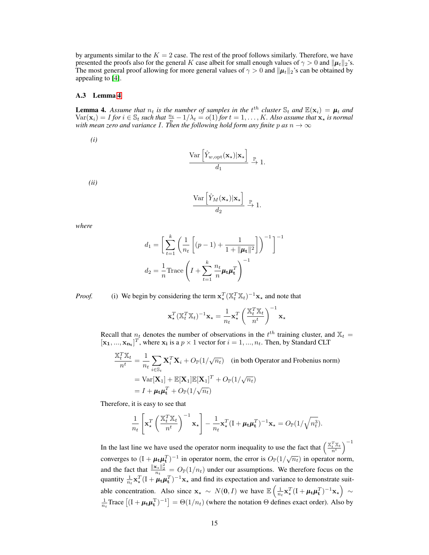by arguments similar to the  $K = 2$  case. The rest of the proof follows similarly. Therefore, we have presented the proofs also for the general K case albeit for small enough values of  $\gamma > 0$  and  $\|\mu_t\|_2$ 's. The most general proof allowing for more general values of  $\gamma > 0$  and  $\|\mu_t\|_2$ 's can be obtained by appealing to [\[4\]](#page-9-18).

#### A.3 Lemma [4](#page-14-0)

<span id="page-14-0"></span>**Lemma 4.** Assume that  $n_t$  is the number of samples in the  $t^{th}$  cluster  $\mathbb{S}_t$  and  $\mathbb{E}(\mathbf{x}_i) = \boldsymbol{\mu}_t$  and  $Var(\mathbf{x}_i) = I$  *for*  $i \in \mathbb{S}_t$  *such that*  $\frac{n_t}{n} - 1/\lambda_t = o(1)$  *for*  $t = 1, \dots, K$ *. Also assume that*  $\mathbf{x}_\star$  *is normal with mean zero and variance* I*. Then the following hold form any finite* p *as* n → ∞

*(i)*

$$
\frac{\text{Var}\left[\hat{Y}_{w,\text{opt}}(\mathbf{x}_{\star})|\mathbf{x}_{\star}\right]}{d_1} \xrightarrow{\mathbb{P}} 1.
$$

*(ii)*

$$
\frac{\text{Var}\left[\hat{Y}_M(\mathbf{x}_\star)|\mathbf{x}_\star\right]}{d_2} \xrightarrow{\mathbb{P}} 1.
$$

*where*

$$
d_1 = \left[ \sum_{t=1}^{k} \left( \frac{1}{n_t} \left[ (p-1) + \frac{1}{1 + ||\mu_t||^2} \right] \right)^{-1} \right]^{-1}
$$

$$
d_2 = \frac{1}{n} \text{Trace} \left( I + \sum_{t=1}^{k} \frac{n_t}{n} \mu_t \mu_t^T \right)^{-1}
$$

*Proof.* (i) We begin by considering the term  $\mathbf{x}_*^T (\mathbb{X}_t^T \mathbb{X}_t)^{-1} \mathbf{x}_*$  and note that

$$
\mathbf{x}_{\star}^{T}(\mathbb{X}_{t}^{T}\mathbb{X}_{t})^{-1}\mathbf{x}_{\star} = \frac{1}{n_{t}}\mathbf{x}_{\star}^{T}\left(\frac{\mathbb{X}_{t}^{T}\mathbb{X}_{t}}{n^{t}}\right)^{-1}\mathbf{x}_{\star}
$$

Recall that  $n_t$  denotes the number of observations in the  $t^{th}$  training cluster, and  $\mathbb{X}_t$  =  $[\mathbf{x_1}, ..., \mathbf{x_{n_t}}]^T$ , where  $\mathbf{x_i}$  is a  $p \times 1$  vector for  $i = 1, ..., n_t$ . Then, by Standard CLT

$$
\frac{\mathbb{X}_t^T \mathbb{X}_t}{n^t} = \frac{1}{n_t} \sum_{i \in \mathbb{S}_t} \mathbf{X}_i^T \mathbf{X}_i + O_{\mathbb{P}}(1/\sqrt{n_t}) \quad \text{(in both Operator and Frobenius norm)}
$$
\n
$$
= \text{Var}[\mathbf{X}_1] + \mathbb{E}[\mathbf{X}_1] \mathbb{E}[\mathbf{X}_1]^T + O_{\mathbb{P}}(1/\sqrt{n_t})
$$
\n
$$
= I + \mu_t \mu_t^T + O_{\mathbb{P}}(1/\sqrt{n_t})
$$

Therefore, it is easy to see that

$$
\frac{1}{n_t} \left[ \mathbf{x}_\star^T \left( \frac{\mathbb{X}_t^T \mathbb{X}_t}{n^t} \right)^{-1} \mathbf{x}_\star \right] - \frac{1}{n_t} \mathbf{x}_\star^T (\mathbf{I} + \boldsymbol{\mu}_t \boldsymbol{\mu}_t^T)^{-1} \mathbf{x}_\star = O_\mathbb{P}(\mathbb{1}/\sqrt{n_t^3}).
$$

In the last line we have used the operator norm inequality to use the fact that  $\left(\frac{\mathbb{X}_t^T \mathbb{X}_t}{n^t}\right)^{-1}$ converges to  $(I + \mu_t \mu_t^T)^{-1}$  in operator norm, the error is  $O_P(1/\sqrt{n_t})$  in operator norm, and the fact that  $\frac{\|\mathbf{x}_*\|_2^2}{n_t} = O_\mathbb{P}(1/n_t)$  under our assumptions. We therefore focus on the quantity  $\frac{1}{n_t} \mathbf{x}_\star^T (\mathbf{I} + \boldsymbol{\mu}_t \boldsymbol{\mu}_t^T)^{-1} \mathbf{x}_\star$  and find its expectation and variance to demonstrate suitable concentration. Also since  $\mathbf{x}_\star \sim N(\mathbf{0}, I)$  we have  $\mathbb{E}\left(\frac{1}{n_t}\mathbf{x}_\star^T(\mathbf{I} + \boldsymbol{\mu}_t\boldsymbol{\mu}_t^T)^{-1}\mathbf{x}_\star\right) \sim$  $\frac{1}{n_t}$ Trace  $[(I + \mu_t \mu_t^T)^{-1}] = \Theta(1/n_t)$  (where the notation  $\Theta$  defines exact order). Also by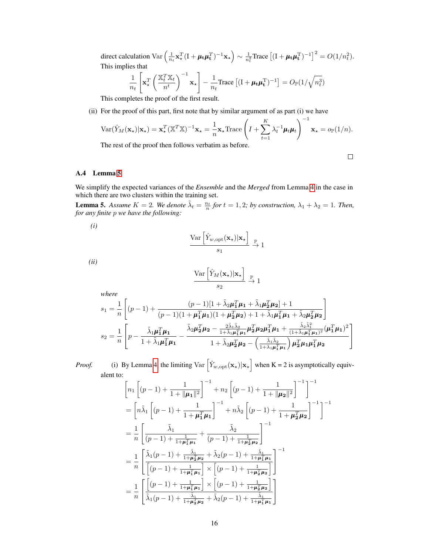direct calculation  $\text{Var}\left(\frac{1}{n_t}\mathbf{x}_\star^T(\mathbf{I} + \boldsymbol{\mu}_t\boldsymbol{\mu}_t^T)^{-1}\mathbf{x}_\star\right) \sim \frac{1}{n_t^2} \text{Trace}\left[(\mathbf{I} + \boldsymbol{\mu}_t\boldsymbol{\mu}_t^T)^{-1}\right]^2 = O(1/n_t^2).$ This implies that

$$
\frac{1}{n_t} \left[ \mathbf{x}_\star^T \left( \frac{\mathbb{X}_t^T \mathbb{X}_t}{n^t} \right)^{-1} \mathbf{x}_\star \right] - \frac{1}{n_t} \text{Trace} \left[ (\mathbf{I} + \boldsymbol{\mu}_t \boldsymbol{\mu}_t^{\mathrm{T}})^{-1} \right] = O_\mathbb{P}(1/\sqrt{n_t^3})
$$

This completes the proof of the first result.

(ii) For the proof of this part, first note that by similar argument of as part (i) we have

$$
\text{Var}(\hat{Y}_M(\mathbf{x}_\star)|\mathbf{x}_\star) = \mathbf{x}_\star^T (\mathbb{X}^T \mathbb{X})^{-1} \mathbf{x}_\star = \frac{1}{n} \mathbf{x}_\star \text{Trace}\left(I + \sum_{t=1}^K \lambda_t^{-1} \boldsymbol{\mu}_t \boldsymbol{\mu}_t\right)^{-1} \mathbf{x}_\star = o_\mathbb{P}(1/n).
$$

The rest of the proof then follows verbatim as before.

$$
\Box
$$

## A.4 Lemma [5](#page-15-0)

We simplify the expected variances of the *Ensemble* and the *Merged* from Lemma [4](#page-14-0) in the case in which there are two clusters within the training set.

<span id="page-15-0"></span>**Lemma 5.** Assume  $K = 2$ . We denote  $\tilde{\lambda}_t = \frac{n_t}{n}$  for  $t = 1, 2$ ; by construction,  $\lambda_1 + \lambda_2 = 1$ . Then, *for any finite* p *we have the following:*

*(i)*

$$
\frac{\text{Var}\left[\hat{Y}_{w,\text{opt}}(\mathbf{x}_{\star})|\mathbf{x}_{\star}\right]}{s_1} \xrightarrow{\mathbb{P}} 1
$$

*(ii)*

*where*

$$
\frac{\text{Var}\left[\hat{Y}_M(\mathbf{x}_\star)|\mathbf{x}_\star\right]}{s_2} \xrightarrow{\mathbb{P}} 1
$$

$$
\begin{aligned} s_1 &= \frac{1}{n} \left[ (p-1) + \frac{(p-1)[1 + \tilde{\lambda}_2 \pmb{\mu}_1^T \pmb{\mu}_1 + \tilde{\lambda}_1 \pmb{\mu}_2^T \pmb{\mu}_2] + 1}{(p-1)(1 + \pmb{\mu}_1^T \pmb{\mu}_1)(1 + \pmb{\mu}_2^T \pmb{\mu}_2) + 1 + \tilde{\lambda}_1 \pmb{\mu}_1^T \pmb{\mu}_1 + \tilde{\lambda}_2 \pmb{\mu}_2^T \pmb{\mu}_2 \right] \\ s_2 &= \frac{1}{n} \left[ p - \frac{\tilde{\lambda}_1 \pmb{\mu}_1^T \pmb{\mu}_1}{1 + \tilde{\lambda}_1 \pmb{\mu}_1^T \pmb{\mu}_1} - \frac{\tilde{\lambda}_2 \pmb{\mu}_2^T \pmb{\mu}_2 - \frac{2 \tilde{\lambda}_1 \tilde{\lambda}_2}{1 + \tilde{\lambda}_1 \pmb{\mu}_1^T \pmb{\mu}_1} \pmb{\mu}_2^T \pmb{\mu}_2 \pmb{\mu}_1^T \pmb{\mu}_1 + \frac{\tilde{\lambda}_2 \tilde{\lambda}_1^2}{(1 + \tilde{\lambda}_1 \pmb{\mu}_1^T \pmb{\mu}_1)^2} (\pmb{\mu}_1^T \pmb{\mu}_1)^2} \right] \\ \end{aligned}
$$

*Proof.* (i) By Lemma [4,](#page-14-0) the limiting  $Var\left[\hat{Y}_{w,\text{opt}}(\mathbf{x}_\star)|\mathbf{x}_\star\right]$  when K = 2 is asymptotically equivalent to:

$$
\begin{split}\n&\left[n_{1}\left[(p-1)+\frac{1}{1+\|\pmb{\mu}_{1}\|^{2}}\right]^{-1}+n_{2}\left[(p-1)+\frac{1}{1+\|\pmb{\mu}_{2}\|^{2}}\right]^{-1}\right]^{-1} \\
&=\left[n\tilde{\lambda}_{1}\left[(p-1)+\frac{1}{1+\pmb{\mu}_{1}^{T}\pmb{\mu}_{1}}\right]^{-1}+n\tilde{\lambda}_{2}\left[(p-1)+\frac{1}{1+\pmb{\mu}_{2}^{T}\pmb{\mu}_{2}}\right]^{-1}\right]^{-1} \\
&=\frac{1}{n}\left[\frac{\tilde{\lambda}_{1}}{(p-1)+\frac{1}{1+\pmb{\mu}_{1}^{T}\pmb{\mu}_{1}}}+\frac{\tilde{\lambda}_{2}}{(p-1)+\frac{1}{1+\pmb{\mu}_{2}^{T}\pmb{\mu}_{2}}}\right]^{-1} \\
&=\frac{1}{n}\left[\frac{\tilde{\lambda}_{1}(p-1)+\frac{\tilde{\lambda}_{1}}{1+\pmb{\mu}_{2}^{T}\pmb{\mu}_{2}}+\tilde{\lambda}_{2}(p-1)+\frac{\tilde{\lambda}_{1}}{1+\pmb{\mu}_{1}^{T}\pmb{\mu}_{1}}}{\left[(p-1)+\frac{1}{1+\pmb{\mu}_{1}^{T}\pmb{\mu}_{1}}\right]\times\left[(p-1)+\frac{1}{1+\pmb{\mu}_{2}^{T}\pmb{\mu}_{2}}\right]}\right]^{-1} \\
&=\frac{1}{n}\left[\frac{\left[(p-1)+\frac{1}{1+\pmb{\mu}_{1}^{T}\pmb{\mu}_{1}}\right]\times\left[(p-1)+\frac{1}{1+\pmb{\mu}_{2}^{T}\pmb{\mu}_{2}}\right]}{\tilde{\lambda}_{1}(p-1)+\frac{\tilde{\lambda}_{1}}{1+\pmb{\mu}_{2}^{T}\pmb{\mu}_{2}}+\tilde{\lambda}_{2}(p-1)+\frac{\tilde{\lambda}_{1}}{1+\pmb{\mu}_{1}^{T}\pmb{\mu}_{1}}\right]}\n\end{split}
$$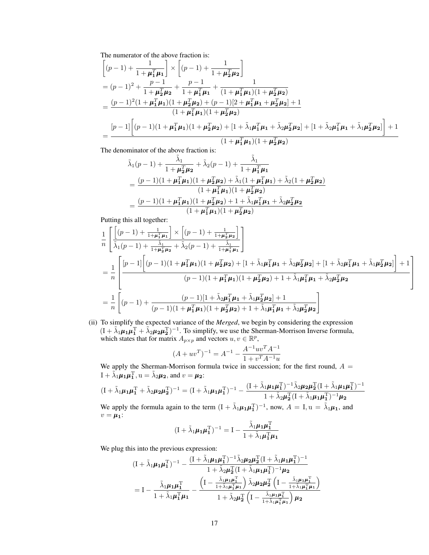The numerator of the above fraction is:

$$
\begin{aligned}\n&\left[(p-1)+\frac{1}{1+\mu_1^T\mu_1}\right] \times \left[(p-1)+\frac{1}{1+\mu_2^T\mu_2}\right] \\
&= (p-1)^2 + \frac{p-1}{1+\mu_2^T\mu_2} + \frac{p-1}{1+\mu_1^T\mu_1} + \frac{1}{(1+\mu_1^T\mu_1)(1+\mu_2^T\mu_2)} \\
&= \frac{(p-1)^2(1+\mu_1^T\mu_1)(1+\mu_2^T\mu_2) + (p-1)[2+\mu_1^T\mu_1+\mu_2^T\mu_2] + 1}{(1+\mu_1^T\mu_1)(1+\mu_2^T\mu_2)} \\
&= \frac{[p-1]\left[(p-1)(1+\mu_1^T\mu_1)(1+\mu_2^T\mu_2) + [1+\tilde{\lambda}_1\mu_1^T\mu_1+\tilde{\lambda}_2\mu_2^T\mu_2] + [1+\tilde{\lambda}_2\mu_1^T\mu_1+\tilde{\lambda}_1\mu_2^T\mu_2]\right] + 1}{(1+\mu_1^T\mu_1)(1+\mu_2^T\mu_2)}\n\end{aligned}
$$

The denominator of the above fraction is:

$$
\tilde{\lambda}_{1}(p-1) + \frac{\tilde{\lambda}_{1}}{1 + \mu_{2}^{T}\mu_{2}} + \tilde{\lambda}_{2}(p-1) + \frac{\tilde{\lambda}_{1}}{1 + \mu_{1}^{T}\mu_{1}} \n= \frac{(p-1)(1 + \mu_{1}^{T}\mu_{1})(1 + \mu_{2}^{T}\mu_{2}) + \tilde{\lambda}_{1}(1 + \mu_{1}^{T}\mu_{1}) + \tilde{\lambda}_{2}(1 + \mu_{2}^{T}\mu_{2}) \n= \frac{(p-1)(1 + \mu_{1}^{T}\mu_{1})(1 + \mu_{2}^{T}\mu_{2}) + 1 + \tilde{\lambda}_{1}\mu_{1}^{T}\mu_{1} + \tilde{\lambda}_{2}\mu_{2}^{T}\mu_{2}}{(1 + \mu_{1}^{T}\mu_{1})(1 + \mu_{2}^{T}\mu_{2})}
$$

Putting this all together:

$$
\frac{1}{n} \left[ \frac{\left[ (p-1) + \frac{1}{1 + \mu_1^T \mu_1} \right] \times \left[ (p-1) + \frac{1}{1 + \mu_2^T \mu_2} \right]}{\tilde{\lambda}_1 (p-1) + \frac{\tilde{\lambda}_1}{1 + \mu_2^T \mu_2} + \tilde{\lambda}_2 (p-1) + \frac{\tilde{\lambda}_1}{1 + \mu_1^T \mu_1}} \right]
$$
\n
$$
= \frac{1}{n} \left[ \frac{[p-1] \left[ (p-1)(1 + \mu_1^T \mu_1)(1 + \mu_2^T \mu_2) + [1 + \tilde{\lambda}_1 \mu_1^T \mu_1 + \tilde{\lambda}_2 \mu_2^T \mu_2] + [1 + \tilde{\lambda}_2 \mu_1^T \mu_1 + \tilde{\lambda}_1 \mu_2^T \mu_2] \right] + 1}{(p-1)(1 + \mu_1^T \mu_1)(1 + \mu_2^T \mu_2) + 1 + \tilde{\lambda}_1 \mu_1^T \mu_1 + \tilde{\lambda}_2 \mu_2^T \mu_2} \right]
$$
\n
$$
= \frac{1}{n} \left[ (p-1) + \frac{(p-1)[1 + \tilde{\lambda}_2 \mu_1^T \mu_1 + \tilde{\lambda}_1 \mu_2^T \mu_2] + 1}{(p-1)(1 + \mu_1^T \mu_1)(1 + \mu_2^T \mu_2) + 1 + \tilde{\lambda}_1 \mu_1^T \mu_1 + \tilde{\lambda}_2 \mu_2^T \mu_2} \right]
$$

(ii) To simplify the expected variance of the *Merged*, we begin by considering the expression  $(I + \tilde{\lambda}_1 \mu_1 \mu_1^T + \tilde{\lambda}_2 \mu_2 \mu_2^T)^{-1}$ . To simplify, we use the Sherman-Morrison Inverse formula, which states that for matrix  $A_{p\times p}$  and vectors  $u, v \in \mathbb{R}^p$ ,

$$
(A + uvT)-1 = A-1 - \frac{A-1uvTA-1}{1 + vTA-1u}
$$

We apply the Sherman-Morrison formula twice in succession; for the first round,  $A =$  $I + \tilde{\lambda}_1 \mu_1 \mu_1^{\mathrm{T}}, u = \tilde{\lambda}_2 \mu_2$ , and  $v = \mu_2$ :

$$
(\mathbf{I} + \tilde{\lambda}_1 \mu_1 \mu_1^{\mathrm{T}} + \tilde{\lambda}_2 \mu_2 \mu_2^{\mathrm{T}})^{-1} = (\mathbf{I} + \tilde{\lambda}_1 \mu_1 \mu_1^{\mathrm{T}})^{-1} - \frac{(\mathbf{I} + \tilde{\lambda}_1 \mu_1 \mu_1^{\mathrm{T}})^{-1} \tilde{\lambda}_2 \mu_2 \mu_2^{\mathrm{T}} (\mathbf{I} + \tilde{\lambda}_1 \mu_1 \mu_1^{\mathrm{T}})^{-1}}{1 + \tilde{\lambda}_2 \mu_2^{\mathrm{T}} (\mathbf{I} + \tilde{\lambda}_1 \mu_1 \mu_1^{\mathrm{T}})^{-1} \mu_2}
$$

We apply the formula again to the term  $(I + \tilde{\lambda}_1 \mu_1 \mu_1^{\mathrm{T}})^{-1}$ , now,  $A = I$ ,  $u = \tilde{\lambda}_1 \mu_1$ , and  $v = \mu_1$ :

$$
(\mathbf{I} + \tilde{\lambda}_1 \boldsymbol{\mu}_1 \boldsymbol{\mu}_1^{\mathrm{T}})^{-1} = \mathbf{I} - \frac{\tilde{\lambda}_1 \boldsymbol{\mu}_1 \boldsymbol{\mu}_1^{\mathrm{T}}}{1 + \tilde{\lambda}_1 \boldsymbol{\mu}_1^{\mathrm{T}} \boldsymbol{\mu}_1}
$$

We plug this into the previous expression:

$$
(I + \tilde{\lambda}_{1}\mu_{1}\mu_{1}^{T})^{-1} - \frac{(I + \tilde{\lambda}_{1}\mu_{1}\mu_{1}^{T})^{-1}\tilde{\lambda}_{2}\mu_{2}\mu_{2}^{T}(I + \tilde{\lambda}_{1}\mu_{1}\mu_{1}^{T})^{-1}}{1 + \tilde{\lambda}_{2}\mu_{2}^{T}(I + \tilde{\lambda}_{1}\mu_{1}\mu_{1}^{T})^{-1}\mu_{2}}
$$
  
=  $I - \frac{\tilde{\lambda}_{1}\mu_{1}\mu_{1}^{T}}{1 + \tilde{\lambda}_{1}\mu_{1}^{T}\mu_{1}} - \frac{\left(I - \frac{\tilde{\lambda}_{1}\mu_{1}\mu_{1}^{T}}{1 + \tilde{\lambda}_{1}\mu_{1}^{T}\mu_{1}}\right)\tilde{\lambda}_{2}\mu_{2}\mu_{2}^{T}\left(I - \frac{\tilde{\lambda}_{1}\mu_{1}\mu_{1}^{T}}{1 + \tilde{\lambda}_{1}\mu_{1}^{T}\mu_{1}}\right)\mu_{2}}{1 + \tilde{\lambda}_{2}\mu_{2}^{T}\left(I - \frac{\tilde{\lambda}_{1}\mu_{1}\mu_{1}^{T}}{1 + \tilde{\lambda}_{1}\mu_{1}^{T}\mu_{1}}\right)\mu_{2}}$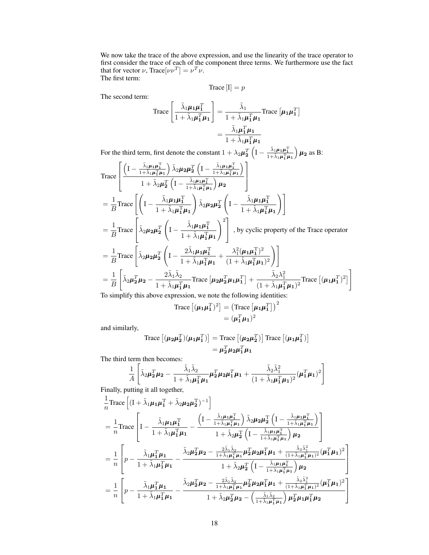We now take the trace of the above expression, and use the linearity of the trace operator to first consider the trace of each of the component three terms. We furthermore use the fact that for vector  $\nu$ , Trace $[\nu \nu^T] = \nu^T \nu$ . The first term:

Trace  $[I] = p$ 

The second term:

Trace 
$$
\left[\frac{\tilde{\lambda}_1 \mu_1 \mu_1^T}{1 + \tilde{\lambda}_1 \mu_1^T \mu_1}\right] = \frac{\tilde{\lambda}_1}{1 + \tilde{\lambda}_1 \mu_1^T \mu_1}
$$
Trace  $[\mu_1 \mu_1^T]$   

$$
= \frac{\tilde{\lambda}_1 \mu_1^T \mu_1}{1 + \tilde{\lambda}_1 \mu_1^T \mu_1}
$$

For the third term, first denote the constant  $1 + \lambda_2 \mu_2^T \left( I - \frac{\tilde{\lambda}_1 \mu_1 \mu_1^T}{1 + \tilde{\lambda}_1 \mu_1^T \mu_1} \right)$  $\mu_2$  as B:

Trace
$$
\begin{split}\n&\text{Trace}\left[\frac{\left(1-\frac{\tilde{\lambda}_{1}\mu_{1}\mu_{1}^{T}}{1+\tilde{\lambda}_{1}\mu_{1}^{T}\mu_{1}}\right)\tilde{\lambda}_{2}\mu_{2}\mu_{2}^{T}\left(1-\frac{\tilde{\lambda}_{1}\mu_{1}\mu_{1}^{T}}{1+\tilde{\lambda}_{1}\mu_{1}^{T}\mu_{1}}\right)}{1+\tilde{\lambda}_{2}\mu_{2}^{T}\left(1-\frac{\tilde{\lambda}_{1}\mu_{1}\mu_{1}^{T}}{1+\tilde{\lambda}_{1}\mu_{1}^{T}\mu_{1}}\right)\mu_{2}}\right] \\
&=\frac{1}{B}\text{Trace}\left[\left(1-\frac{\tilde{\lambda}_{1}\mu_{1}\mu_{1}^{T}}{1+\tilde{\lambda}_{1}\mu_{1}^{T}\mu_{1}}\right)\tilde{\lambda}_{2}\mu_{2}\mu_{2}^{T}\left(1-\frac{\tilde{\lambda}_{1}\mu_{1}\mu_{1}^{T}}{1+\tilde{\lambda}_{1}\mu_{1}^{T}\mu_{1}}\right)\right] \\
&=\frac{1}{B}\text{Trace}\left[\tilde{\lambda}_{2}\mu_{2}\mu_{2}^{T}\left(1-\frac{\tilde{\lambda}_{1}\mu_{1}\mu_{1}^{T}}{1+\tilde{\lambda}_{1}\mu_{1}^{T}\mu_{1}}\right)^{2}\right],\text{ by cyclic property of the Trace operator} \\
&=\frac{1}{B}\text{Trace}\left[\tilde{\lambda}_{2}\mu_{2}\mu_{2}^{T}\left(1-\frac{2\tilde{\lambda}_{1}\mu_{1}\mu_{1}^{T}}{1+\tilde{\lambda}_{1}\mu_{1}^{T}\mu_{1}}+\frac{\lambda_{1}^{2}(\mu_{1}\mu_{1}^{T})^{2}}{(1+\tilde{\lambda}_{1}\mu_{1}^{T}\mu_{1})^{2}}\right)\right] \\
&=\frac{1}{B}\left[\tilde{\lambda}_{2}\mu_{2}^{T}\mu_{2}-\frac{2\tilde{\lambda}_{1}\tilde{\lambda}_{2}}{1+\tilde{\lambda}_{1}\mu_{1}^{T}\mu_{1}}\text{Trace}\left[\mu_{2}\mu_{2}^{T}\mu_{1}\mu_{1}^{T}\right]+\frac{\tilde{\lambda}_{2}\lambda_{1}^{2}}{(1+\tilde{\lambda}_{1}\mu_{1}^{T}\mu_{1})^{2}}\text{Trace}\left[(\mu_{1}\mu_{1}^{T})^{2}\right]\right] \\
&=\frac{1}{B}\left[\tilde{\lambda}_{2}\mu_{2}^{T
$$

To simplify this above expression, we note the following identities:

Trace 
$$
[(\boldsymbol{\mu_1 \mu_1^T})^2] = (\text{Trace } [\boldsymbol{\mu_1 \mu_1^T}]^2
$$

$$
= (\boldsymbol{\mu_1^T \mu_1})^2
$$

and similarly,

Trace 
$$
[(\mu_2 \mu_2^T)(\mu_1 \mu_1^T)]
$$
 = Trace  $[(\mu_2 \mu_2^T)]$  Trace  $[(\mu_1 \mu_1^T)]$   
=  $\mu_2^T \mu_2 \mu_1^T \mu_1$ 

The third term then becomes:

$$
\frac{1}{A}\left[\tilde{\lambda}_2 \mu_2^T \mu_2 - \frac{\tilde{\lambda}_1 \tilde{\lambda}_2}{1 + \tilde{\lambda}_1 \mu_1^T \mu_1} \mu_2^T \mu_2 \mu_1^T \mu_1 + \frac{\tilde{\lambda}_2 \tilde{\lambda}_1^2}{(1 + \tilde{\lambda}_1 \mu_1^T \mu_1)^2} (\mu_1^T \mu_1)^2\right]
$$

Finally, putting it all together,

$$
\frac{1}{n}\text{Trace}\left[(I+\tilde{\lambda}_{1}\mu_{1}\mu_{1}^{T}+\tilde{\lambda}_{2}\mu_{2}\mu_{2}^{T})^{-1}\right]
$$
\n
$$
=\frac{1}{n}\text{Trace}\left[I-\frac{\tilde{\lambda}_{1}\mu_{1}\mu_{1}^{T}}{1+\tilde{\lambda}_{1}\mu_{1}^{T}\mu_{1}}-\frac{\left(I-\frac{\tilde{\lambda}_{1}\mu_{1}\mu_{1}^{T}}{1+\tilde{\lambda}_{1}\mu_{1}^{T}\mu_{1}}\right)\tilde{\lambda}_{2}\mu_{2}\mu_{2}^{T}\left(I-\frac{\tilde{\lambda}_{1}\mu_{1}\mu_{1}^{T}}{1+\tilde{\lambda}_{1}\mu_{1}^{T}\mu_{1}}\right)}{1+\tilde{\lambda}_{2}\mu_{2}^{T}\left(I-\frac{\tilde{\lambda}_{1}\mu_{1}\mu_{1}^{T}}{1+\tilde{\lambda}_{1}\mu_{1}^{T}\mu_{1}}\right)\mu_{2}}\right]
$$
\n
$$
=\frac{1}{n}\left[p-\frac{\tilde{\lambda}_{1}\mu_{1}^{T}\mu_{1}}{1+\tilde{\lambda}_{1}\mu_{1}^{T}\mu_{1}}-\frac{\tilde{\lambda}_{2}\mu_{2}^{T}\mu_{2}-\frac{2\tilde{\lambda}_{1}\tilde{\lambda}_{2}}{1+\tilde{\lambda}_{1}\mu_{1}^{T}\mu_{1}}\mu_{2}^{T}\mu_{2}\mu_{1}^{T}\mu_{1}+\frac{\tilde{\lambda}_{2}\tilde{\lambda}_{1}^{2}}{(1+\tilde{\lambda}_{1}\mu_{1}^{T}\mu_{1})^{2}}(\mu_{1}^{T}\mu_{1})^{2}\right]
$$
\n
$$
=\frac{1}{n}\left[p-\frac{\tilde{\lambda}_{1}\mu_{1}^{T}\mu_{1}}{1+\tilde{\lambda}_{1}\mu_{1}^{T}\mu_{1}}-\frac{\tilde{\lambda}_{2}\mu_{2}^{T}\mu_{2}-\frac{2\tilde{\lambda}_{1}\tilde{\lambda}_{2}}{1+\tilde{\lambda}_{1}\mu_{1}^{T}\mu_{1}}\mu_{2}^{T}\mu_{2}\mu_{1}^{T}\mu_{1}+\frac{\tilde{\lambda}_{2}\tilde{\lambda}_{1}^{2}}{(1+\tilde{\lambda}_{1}\mu_{1}^{T}\mu_{1})^{2}}(\mu_{1}^{T}\mu_{1})^{2}\right]
$$
\n
$$
=\frac{1}{n}\left[p-\frac{\tilde{\lambda}_{1}\mu_{1}^{T}\mu_{1}}{1+\til
$$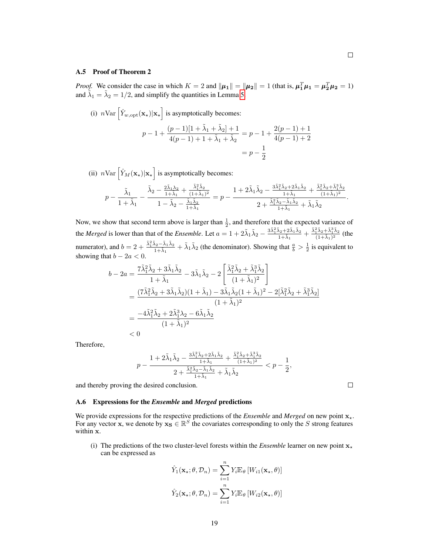#### A.5 Proof of Theorem 2

*Proof.* We consider the case in which  $K = 2$  and  $\|\mu_1\| = \|\mu_2\| = 1$  (that is,  $\mu_1^T \mu_1 = \mu_2^T \mu_2 = 1$ ) and  $\tilde{\lambda}_1 = \tilde{\lambda}_2 = 1/2$ , and simplify the quantities in Lemma [5.](#page-15-0)

(i) 
$$
n \text{Var}\left[\hat{Y}_{w,\text{opt}}(\mathbf{x}_{\star}) | \mathbf{x}_{\star}\right]
$$
 is asymptotically becomes:  
\n
$$
p - 1 + \frac{(p-1)[1 + \tilde{\lambda}_1 + \tilde{\lambda}_2] + 1}{4(p-1) + 1 + \tilde{\lambda}_1 + \tilde{\lambda}_2} = p - 1 + \frac{2(p-1) + 1}{4(p-1) + 2}
$$
\n
$$
= p - \frac{1}{2}
$$

(ii)  $n \text{Var}\left[\hat{Y}_M(\mathbf{x}_\star)|\mathbf{x}_\star\right]$  is asymptotically becomes:

$$
p-\frac{\tilde{\lambda}_1}{1+\tilde{\lambda}_1}-\frac{\tilde{\lambda}_2-\frac{2\tilde{\lambda}_1\lambda_2}{1+\tilde{\lambda}_1}+\frac{\tilde{\lambda}_1^2\tilde{\lambda}_2}{(1+\tilde{\lambda}_1)^2}}{1-\tilde{\lambda}_2-\frac{\tilde{\lambda}_1\tilde{\lambda}_2}{1+\tilde{\lambda}_1}}=p-\frac{1+2\tilde{\lambda}_1\tilde{\lambda}_2-\frac{3\tilde{\lambda}_1^2\tilde{\lambda}_2+2\tilde{\lambda}_1\tilde{\lambda}_2}{1+\tilde{\lambda}_1}+\frac{\tilde{\lambda}_1^2\tilde{\lambda}_2+\tilde{\lambda}_1^3\tilde{\lambda}_2}{(1+\tilde{\lambda}_1)^2}}{2+\frac{\tilde{\lambda}_1^2\tilde{\lambda}_2-\tilde{\lambda}_1\tilde{\lambda}_2}{1+\tilde{\lambda}_1}+\tilde{\lambda}_1\tilde{\lambda}_2}.
$$

Now, we show that second term above is larger than  $\frac{1}{2}$ , and therefore that the expected variance of the *Merged* is lower than that of the *Ensemble*. Let  $a = 1 + 2\tilde{\lambda}_1 \tilde{\lambda}_2 - \frac{3\tilde{\lambda}_1^2 \tilde{\lambda}_2 + 2\tilde{\lambda}_1 \tilde{\lambda}_2}{1 + \tilde{\lambda}_2}$  $\frac{\tilde{\lambda}_2+2\tilde{\lambda}_1\tilde{\lambda}_2}{1+\tilde{\lambda}_1}+\frac{\tilde{\lambda}_1^2\tilde{\lambda}_2+\tilde{\lambda}_1^3\tilde{\lambda}_2}{(1+\tilde{\lambda}_1)^2}$  $\frac{1^{\lambda_2 + \lambda_1 \lambda_2}}{(1 + \tilde{\lambda}_1)^2}$  (the numerator), and  $b = 2 + \frac{\tilde{\lambda}_1^2 \tilde{\lambda}_2 - \tilde{\lambda}_1 \tilde{\lambda}_2}{1 + \tilde{\lambda}_1^2}$  $\frac{\lambda_2 - \lambda_1 \lambda_2}{1 + \tilde{\lambda}_1} + \tilde{\lambda}_1 \tilde{\lambda}_2$  (the denominator). Showing that  $\frac{a}{b} > \frac{1}{2}$  is equivalent to showing that  $b - 2a < 0$ .

$$
b - 2a = \frac{7\tilde{\lambda}_1^2 \tilde{\lambda}_2 + 3\tilde{\lambda}_1 \tilde{\lambda}_2}{1 + \tilde{\lambda}_1} - 3\tilde{\lambda}_1 \tilde{\lambda}_2 - 2\left[\frac{\tilde{\lambda}_1^2 \tilde{\lambda}_2 + \tilde{\lambda}_1^3 \tilde{\lambda}_2}{(1 + \tilde{\lambda}_1)^2}\right]
$$
  
= 
$$
\frac{(7\tilde{\lambda}_1^2 \tilde{\lambda}_2 + 3\tilde{\lambda}_1 \tilde{\lambda}_2)(1 + \tilde{\lambda}_1) - 3\tilde{\lambda}_1 \tilde{\lambda}_2 (1 + \tilde{\lambda}_1)^2 - 2[\tilde{\lambda}_1^2 \tilde{\lambda}_2 + \tilde{\lambda}_1^3 \tilde{\lambda}_2]}{(1 + \tilde{\lambda}_1)^2}
$$
  
= 
$$
\frac{-4\tilde{\lambda}_1^2 \tilde{\lambda}_2 + 2\tilde{\lambda}_1^3 \lambda_2 - 6\tilde{\lambda}_1 \tilde{\lambda}_2}{(1 + \tilde{\lambda}_1)^2}
$$
  
< 0

Therefore,

$$
p-\frac{1+2\tilde{\lambda}_{1}\tilde{\lambda}_{2}-\frac{3\tilde{\lambda}_{1}^{2}\tilde{\lambda}_{2}+2\tilde{\lambda}_{1}\tilde{\lambda}_{2}}{1+\tilde{\lambda}_{1}}+\frac{\tilde{\lambda}_{1}^{2}\tilde{\lambda}_{2}+\tilde{\lambda}_{1}^{3}\tilde{\lambda}_{2}}{(1+\tilde{\lambda}_{1})^{2}}}{2+\frac{\tilde{\lambda}_{1}^{2}\tilde{\lambda}_{2}-\tilde{\lambda}_{1}\tilde{\lambda}_{2}}{1+\tilde{\lambda}_{1}}+\tilde{\lambda}_{1}\tilde{\lambda}_{2}}
$$

and thereby proving the desired conclusion.

#### <span id="page-18-0"></span>A.6 Expressions for the *Ensemble* and *Merged* predictions

We provide expressions for the respective predictions of the *Ensemble* and *Merged* on new point  $x<sub>*</sub>$ . For any vector x, we denote by  $x_S \in \mathbb{R}^S$  the covariates corresponding to only the S strong features within x.

(i) The predictions of the two cluster-level forests within the *Ensemble* learner on new point  $x<sub>*</sub>$ can be expressed as

$$
\hat{Y}_1(\mathbf{x}_\star; \theta, \mathcal{D}_n) = \sum_{i=1}^n Y_i \mathbb{E}_{\theta} \left[ W_{i1}(\mathbf{x}_\star, \theta) \right]
$$

$$
\hat{Y}_2(\mathbf{x}_\star; \theta, \mathcal{D}_n) = \sum_{i=1}^n Y_i \mathbb{E}_{\theta} \left[ W_{i2}(\mathbf{x}_\star, \theta) \right]
$$

 $\Box$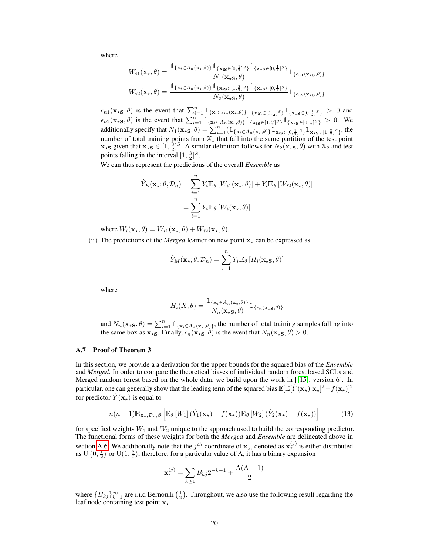where

$$
W_{i1}(\mathbf{x}_{\star},\theta) = \frac{\mathbb{1}_{\{\mathbf{x}_{i} \in A_{n}(\mathbf{x}_{\star},\theta)\}} \mathbb{1}_{\{\mathbf{x}_{i} \in [0,\frac{1}{2}]^{S}\}} \mathbb{1}_{\{\mathbf{x}_{\star} \in [0,\frac{1}{2}]^{S}\}}}{N_{1}(\mathbf{x}_{\star}\mathbf{S},\theta)} \mathbb{1}_{\{\epsilon_{n1}(\mathbf{x}_{\star}\mathbf{S},\theta)\}}
$$

$$
W_{i2}(\mathbf{x}_{\star},\theta) = \frac{\mathbb{1}_{\{\mathbf{x}_{i} \in A_{n}(\mathbf{x}_{\star},\theta)\}} \mathbb{1}_{\{\mathbf{x}_{i} \in [1,\frac{3}{2}]^{S}\}} \mathbb{1}_{\{\mathbf{x}_{\star} \in [0,\frac{1}{2}]^{S}\}}}{N_{2}(\mathbf{x}_{\star}\mathbf{S},\theta)} \mathbb{1}_{\{\epsilon_{n2}(\mathbf{x}_{\star}\mathbf{S},\theta)\}}
$$

 $\epsilon_{n1}(\mathbf{x}_{\star} \mathbf{s},\theta)$  is the event that  $\sum_{i=1}^{n} \mathbb{1}_{\{\mathbf{x}_i \in A_n(\mathbf{x}_{\star},\theta)\}} \mathbb{1}_{\{\mathbf{x}_i \in [0,\frac{1}{2}]^S\}} \mathbb{1}_{\{\mathbf{x}_{\star} \mathbf{s} \in [0,\frac{1}{2}]^S\}} > 0$  and  $\epsilon_{n2}(\mathbf{x}_{\star} \mathbf{s},\theta)$  is the event that  $\sum_{i=1}^{n} \mathbb{1}_{\{\mathbf{x}_i \in A_n(\mathbf{x}_{\star},\theta)\}} \mathbb{1}_{\{\mathbf{x}_i \in [1,\frac{3}{2}]^{S}\}} \mathbb{1}_{\{\mathbf{x}_{\star} \mathbf{s} \in [0,\frac{1}{2}]^{S}\}} > 0$ . We additionally specify that  $N_1(\mathbf{x}_\star \mathbf{s}, \theta) = \sum_{i=1}^n (\mathbb{1}_{\{\mathbf{x}_i \in A_n(\mathbf{x}_\star, \theta)\}} \mathbb{1}_{\mathbf{x}_i \mathbf{s} \in [0, \frac{1}{2}]^S} \mathbb{1}_{\mathbf{x}_\star \mathbf{s} \in [1, \frac{3}{2}]^S}$ , the number of total training points from  $\overline{X_1}$  that fall into the same partition of the test point  $\mathbf{x}_{\star}$ s given that  $\mathbf{x}_{\star}$ s  $\in [1, \frac{3}{2}]^S$ . A similar definition follows for  $N_2(\mathbf{x}_{\star}$ s,  $\theta)$  with  $\mathbb{X}_2$  and test points falling in the interval  $[1, \frac{3}{2}]^S$ .

We can thus represent the predictions of the overall *Ensemble* as

$$
\hat{Y}_E(\mathbf{x}_\star; \theta, \mathcal{D}_n) = \sum_{i=1}^n Y_i \mathbb{E}_{\theta} \left[ W_{i1}(\mathbf{x}_\star, \theta) \right] + Y_i \mathbb{E}_{\theta} \left[ W_{i2}(\mathbf{x}_\star, \theta) \right]
$$

$$
= \sum_{i=1}^n Y_i \mathbb{E}_{\theta} \left[ W_i(\mathbf{x}_\star, \theta) \right]
$$

where  $W_i(\mathbf{x}_\star, \theta) = W_{i1}(\mathbf{x}_\star, \theta) + W_{i2}(\mathbf{x}_\star, \theta).$ 

(ii) The predictions of the *Merged* learner on new point  $x<sub>+</sub>$  can be expressed as

$$
\hat{Y}_M(\mathbf{x}_\star;\theta,\mathcal{D}_n) = \sum_{i=1}^n Y_i \mathbb{E}_{\theta} \left[ H_i(\mathbf{x}_\star \mathbf{s}, \theta) \right]
$$

where

$$
H_i(X,\theta) = \frac{1\!\!1_{\{\mathbf{x}_i \in A_n(\mathbf{x}_\star,\theta)\}}}{N_n(\mathbf{x}_\star\mathbf{s},\theta)} 1\!\!1_{\{\epsilon_n(\mathbf{x}_\star\mathbf{s},\theta)\}}
$$

and  $N_n(\mathbf{x}_{\star S}, \theta) = \sum_{i=1}^n \mathbb{1}_{\{\mathbf{x}_i \in A_n(\mathbf{x}_{\star}, \theta)\}}$ , the number of total training samples falling into the same box as  $x_{\star S}$ . Finally,  $\epsilon_n(x_{\star S}, \theta)$  is the event that  $N_n(x_{\star S}, \theta) > 0$ .

## A.7 Proof of Theorem 3

In this section, we provide a a derivation for the upper bounds for the squared bias of the *Ensemble* and *Merged*. In order to compare the theoretical biases of individual random forest based SCLs and Merged random forest based on the whole data, we build upon the work in [[\[15\]](#page-9-12), version 6]. In particular, one can generally show that the leading term of the squared bias  $\mathbb{E}[\mathbb{E}[\hat{Y}(\mathbf{x}_{\star})|\mathbf{x}_{\star}]^2 - f(\mathbf{x}_{\star})]^2$ for predictor  $\overline{Y}(\mathbf{x}_{*})$  is equal to

$$
n(n-1)\mathbb{E}_{\mathbf{x}_{\star},\mathcal{D}_{n},\beta}\left[\mathbb{E}_{\theta}\left[W_{1}\right](\hat{Y}_{1}(\mathbf{x}_{\star})-f(\mathbf{x}_{\star}))\mathbb{E}_{\theta}\left[W_{2}\right](\hat{Y}_{2}(\mathbf{x}_{\star})-f(\mathbf{x}_{\star}))\right]
$$
(13)

for specified weights  $W_1$  and  $W_2$  unique to the approach used to build the corresponding predictor. The functional forms of these weights for both the *Merged* and *Ensemble* are delineated above in section [A.6.](#page-18-0) We additionally note that the  $j^{th}$  coordinate of  $\mathbf{x}_{\star}$ , denoted as  $\mathbf{x}_{\star}^{(j)}$  is either distributed as U  $(0, \frac{1}{2})$  or U $(1, \frac{3}{2})$ ; therefore, for a particular value of A, it has a binary expansion

$$
\mathbf{x}_{\star}^{(j)} = \sum_{k \ge 1} B_{kj} 2^{-k-1} + \frac{A(A+1)}{2}
$$

where  ${B_{kj}}_{k=1}^{\infty}$  are i.i.d Bernoulli  $(\frac{1}{2})$ . Throughout, we also use the following result regarding the leaf node containing test point  $x_{\star}$ .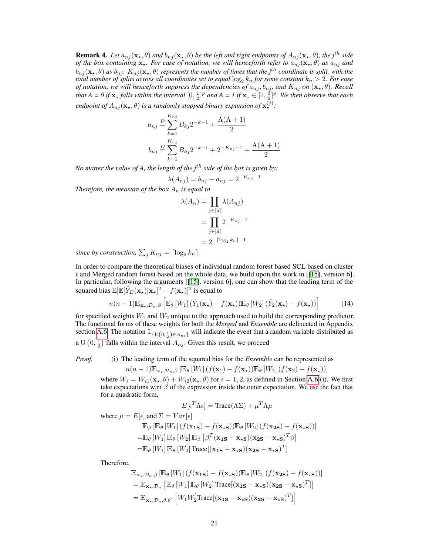**Remark 4.** *Let*  $a_{nj}(\mathbf{x}_*, \theta)$  *and*  $b_{nj}(\mathbf{x}_*, \theta)$  *be the left and right endpoints of*  $A_{nj}(\mathbf{x}_*, \theta)$ *, the j<sup>th</sup> side of the box containing*  $\mathbf{x}_*$ *. For ease of notation, we will henceforth refer to*  $a_{nj}(\mathbf{x}_*, \theta)$  *as*  $a_{nj}$  *and*  $b_{nj}(\mathbf{x}_*,\theta)$  *as*  $b_{nj}$ *.*  $K_{nj}(\mathbf{x}_*,\theta)$  *represents the number of times that the j<sup>th</sup> coordinate is split, with the total number of splits across all coordinates set to equal*  $\log_2 k_n$  *for some constant*  $k_n > 2$ *. For ease of notation, we will henceforth suppress the dependencies of*  $a_{nj}, b_{nj}$ *, and*  $K_{nj}$  *on*  $(\mathbf{x}_{\star}, \theta)$ *. Recall* that  $A = 0$  if  $x_ \star$  falls within the interval  $[0, \frac{1}{2}]^p$  and  $A = I$  if  $x_ \star \in [1, \frac{3}{2}]^p$ . We then observe that each *endpoint of*  $A_{nj}(\mathbf{x}_{\star}, \theta)$  *is a randomly stopped binary expansion of*  $\mathbf{x}_{\star}^{(j)}$ :

$$
a_{nj} \stackrel{D}{=} \sum_{k=1}^{K_{nj}} B_{kj} 2^{-k-1} + \frac{A(A+1)}{2}
$$
  

$$
b_{nj} \stackrel{D}{=} \sum_{k=1}^{K_{nj}} B_{kj} 2^{-k-1} + 2^{-K_{nj}-1} + \frac{A(A+1)}{2}
$$

*No matter the value of A, the length of the j<sup>th</sup> side of the box is given by:* 

$$
\lambda(A_{nj}) = b_{nj} - a_{nj} = 2^{-K_{nj}-1}
$$

*Therefore, the measure of the box*  $A_n$  *is equal to* 

$$
\lambda(A_n) = \prod_{j \in [d]} \lambda(A_{nj})
$$

$$
= \prod_{j \in [d]} 2^{-K_{nj}-1}
$$

$$
= 2^{-\lceil \log_2 k_n \rceil - 1}
$$

*since by construction,*  $\sum_j K_{nj} = \lceil \log_2 k_n \rceil$ .

In order to compare the theoretical biases of individual random forest based SCL based on cluster t and Merged random forest based on the whole data, we build upon the work in  $[15]$ , version 6]. In particular, following the arguments [[\[15\]](#page-9-12), version 6], one can show that the leading term of the squared bias  $\mathbb{E}[\mathbb{E}[\hat{Y}_E(\mathbf{x}_\star)|\mathbf{x}_\star]^2 - f(\mathbf{x}_\star)]^2$  is equal to

$$
n(n-1)\mathbb{E}_{\mathbf{x}_{\star},\mathcal{D}_{n},\beta}\left[\mathbb{E}_{\theta}\left[W_{1}\right](\hat{Y}_{1}(\mathbf{x}_{\star})-f(\mathbf{x}_{\star}))\mathbb{E}_{\theta}\left[W_{2}\right](\hat{Y}_{2}(\mathbf{x}_{\star})-f(\mathbf{x}_{\star}))\right]
$$
(14)

for specified weights  $W_1$  and  $W_2$  unique to the approach used to build the corresponding predictor. The functional forms of these weights for both the *Merged* and *Ensemble* are delineated in Appendix section [A.6.](#page-18-0) The notation  $\mathbb{1}_{\{U(0,\frac{1}{2})\in A_{nj}\}}$  will indicate the event that a random variable distributed as

a U  $(0, \frac{1}{2})$  falls within the interval  $A_{nj}$ . Given this result, we proceed

*Proof.* (i) The leading term of the squared bias for the *Ensemble* can be represented as

$$
n(n-1)\mathbb{E}_{\mathbf{x}_{\star},\mathcal{D}_n,\beta}\left[\mathbb{E}_{\theta}\left[W_1\right](f(\mathbf{x}_1)-f(\mathbf{x}_{\star}))\mathbb{E}_{\theta}\left[W_2\right](f(\mathbf{x}_2)-f(\mathbf{x}_{\star}))\right]
$$

where  $W_i = W_{i1}(\mathbf{x}_*, \theta) + W_{i2}(\mathbf{x}_*, \theta)$  for  $i = 1, 2$ , as defined in Section [A.6](#page-18-0) (i). We first take expectations w.r.t  $\beta$  of the expression inside the outer expectation. We use the fact that for a quadratic form,

$$
E[\epsilon^T \Lambda \epsilon] = \text{Trace}(\Lambda \Sigma) + \mu^T \Lambda \mu
$$

where  $\mu = E[\epsilon]$  and  $\Sigma = Var[\epsilon]$ 

$$
\mathbb{E}_{\beta} [\mathbb{E}_{\theta} [W_1] (f(\mathbf{x}_{1S}) - f(\mathbf{x}_{*S})) \mathbb{E}_{\theta} [W_2] (f(\mathbf{x}_{2S}) - f(\mathbf{x}_{*S}))]
$$
\n
$$
= \mathbb{E}_{\theta} [W_1] \mathbb{E}_{\theta} [W_2] \mathbb{E}_{\beta} [\beta^T (\mathbf{x}_{1S} - \mathbf{x}_{*S}) (\mathbf{x}_{2S} - \mathbf{x}_{*S})^T \beta]
$$
\n
$$
= \mathbb{E}_{\theta} [W_1] \mathbb{E}_{\theta} [W_2] \text{Trace} [(\mathbf{x}_{1S} - \mathbf{x}_{*S}) (\mathbf{x}_{2S} - \mathbf{x}_{*S})^T]
$$

Therefore,

$$
\mathbb{E}_{\mathbf{x}_{\star}, \mathcal{D}_{n}, \beta} [\mathbb{E}_{\theta} [W_{1}] (f(\mathbf{x}_{1S}) - f(\mathbf{x}_{\star S})) \mathbb{E}_{\theta} [W_{2}] (f(\mathbf{x}_{2S}) - f(\mathbf{x}_{\star S}))]
$$
\n
$$
= \mathbb{E}_{\mathbf{x}_{\star}, \mathcal{D}_{n}} [\mathbb{E}_{\theta} [W_{1}] \mathbb{E}_{\theta} [W_{2}] \text{Trace}[(\mathbf{x}_{1S} - \mathbf{x}_{\star S})(\mathbf{x}_{2S} - \mathbf{x}_{\star S})^{T}]
$$
\n
$$
= \mathbb{E}_{\mathbf{x}_{\star}, \mathcal{D}_{n}, \theta, \theta'} [W_{1} W_{2}^{'} \text{Trace}[(\mathbf{x}_{1S} - \mathbf{x}_{\star S})(\mathbf{x}_{2S} - \mathbf{x}_{\star S})^{T}]
$$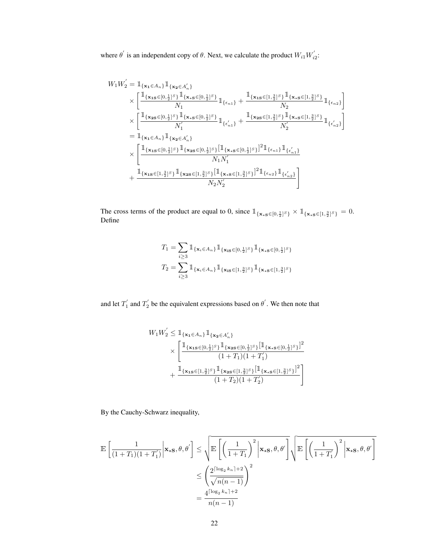where  $\theta'$  is an independent copy of  $\theta$ . Next, we calculate the product  $W_{i1}W_{i2}'$ :

$$
W_{1}W_{2}' = \mathbb{1}_{\{\mathbf{x}_{1}\in A_{n}\}} \mathbb{1}_{\{\mathbf{x}_{2}\in A_{n}'\}}\times \left[ \frac{\mathbb{1}_{\{\mathbf{x}_{1}\in [0, \frac{1}{2}]^{S}\}} \mathbb{1}_{\{\mathbf{x}_{1}\in [0, \frac{1}{2}]^{S}\}} }{N_{1}} \mathbb{1}_{\{\epsilon_{n1}\}} + \frac{\mathbb{1}_{\{\mathbf{x}_{1}\in [1, \frac{3}{2}]^{S}\}} \mathbb{1}_{\{\mathbf{x}_{1}\in [1, \frac{3}{2}]^{S}\}} }{N_{2}} \mathbb{1}_{\{\epsilon_{n2}\}}\times \left[ \frac{\mathbb{1}_{\{\mathbf{x}_{2}\in [0, \frac{1}{2}]^{S}\}} \mathbb{1}_{\{\mathbf{x}_{1}\in [0, \frac{1}{2}]^{S}\}} }{N_{1}'} \mathbb{1}_{\{\epsilon_{n1}'\}} + \frac{\mathbb{1}_{\{\mathbf{x}_{2}\in [1, \frac{3}{2}]^{S}\}} \mathbb{1}_{\{\mathbf{x}_{1}\in [1, \frac{3}{2}]^{S}\}} }{N_{2}'} \mathbb{1}_{\{\epsilon_{n2}'\}}\right] = \mathbb{1}_{\{\mathbf{x}_{1}\in A_{n}\}} \mathbb{1}_{\{\mathbf{x}_{2}\in A_{n}'\}}\times \left[ \frac{\mathbb{1}_{\{\mathbf{x}_{1}\in [0, \frac{1}{2}]^{S}\}} \mathbb{1}_{\{\mathbf{x}_{2}\in [0, \frac{1}{2}]^{S}\}} [\mathbb{1}_{\{\mathbf{x}_{1}\in [0, \frac{1}{2}]^{S}\}} ]^{2} \mathbb{1}_{\{\epsilon_{n1}\}} \mathbb{1}_{\{\epsilon_{n1}'\}}\times \left[ \frac{\mathbb{1}_{\{\mathbf{x}_{1}\in [0, \frac{1}{2}]^{S}\}} \mathbb{1}_{\{\mathbf{x}_{2}\in [0, \frac{1}{2}]^{S}\}} [\mathbb{1}_{\{\mathbf{x}_{1}\in [1, \frac{3}{2}]^{S}\}} ]^{2} \mathbb{1}_{\{\epsilon_{n1}\}} \mathbb{1}_{\{\epsilon_{n2}'\}}+ \frac{\mathbb{1}_{\{\mathbf{x}_{1}\in [1, \frac{3}{2}]^{S}\}} \mathbb{1}_{\{\mathbf{x}_{2}\in [1, \frac{3}{2}]^{S}\}} [\
$$

The cross terms of the product are equal to 0, since  $\mathbb{1}_{\{\mathbf{x}_{\star} \in [0, \frac{1}{2}]^{S}\}} \times \mathbb{1}_{\{\mathbf{x}_{\star} \in [1, \frac{3}{2}]^{S}\}} = 0.$ Define

$$
T_1 = \sum_{i \ge 3} \mathbb{1}_{\{\mathbf{x}_i \in A_n\}} \mathbb{1}_{\{\mathbf{x}_{iS} \in [0, \frac{1}{2}]^S\}} \mathbb{1}_{\{\mathbf{x}_*\mathbf{s} \in [0, \frac{1}{2}]^S\}}
$$
  

$$
T_2 = \sum_{i \ge 3} \mathbb{1}_{\{\mathbf{x}_i \in A_n\}} \mathbb{1}_{\{\mathbf{x}_{iS} \in [1, \frac{3}{2}]^S\}} \mathbb{1}_{\{\mathbf{x}_*\mathbf{s} \in [1, \frac{3}{2}]^S\}}
$$

and let  $T_1'$  and  $T_2'$  be the equivalent expressions based on  $\theta'$ . We then note that

$$
\begin{aligned} W_1 W_2^{'} &\leq \mathbbm{1}_{\{\mathbf{x}_1 \in A_n\}} \mathbbm{1}_{\{\mathbf{x}_2 \in A_n'\}} \\ &\times \left[ \frac{\mathbbm{1}_{\{\mathbf{x}_{1S} \in [0, \frac{1}{2}]^S\}} \mathbbm{1}_{\{\mathbf{x}_{2S} \in [0, \frac{1}{2}]^S\}} [\mathbbm{1}_{\{\mathbf{x}_{*S} \in [0, \frac{1}{2}]^S\}}]^2}{(1+T_1)(1+T_1')} \\ &+\frac{\mathbbm{1}_{\{\mathbf{x}_{1S} \in [1, \frac{3}{2}]^S\}} \mathbbm{1}_{\{\mathbf{x}_{2S} \in [1, \frac{3}{2}]^S\}} [\mathbbm{1}_{\{\mathbf{x}_{*S} \in [1, \frac{3}{2}]^S\}}]^2}{(1+T_2)(1+T_2')} \end{aligned} \right]
$$

By the Cauchy-Schwarz inequality,

$$
\mathbb{E}\left[\frac{1}{(1+T_1)(1+T_1')}\bigg|\mathbf{x}_{\star S},\theta,\theta'\right] \leq \sqrt{\mathbb{E}\left[\left(\frac{1}{1+T_1}\right)^2\bigg|\mathbf{x}_{\star S},\theta,\theta'\right]}\sqrt{\mathbb{E}\left[\left(\frac{1}{1+T_1'}\right)^2\bigg|\mathbf{x}_{\star S},\theta,\theta'\right]}
$$

$$
\leq \left(\frac{2^{\lceil \log_2 k_n \rceil + 2}}{\sqrt{n(n-1)}}\right)^2
$$

$$
= \frac{4^{\lceil \log_2 k_n \rceil + 2}}{n(n-1)}
$$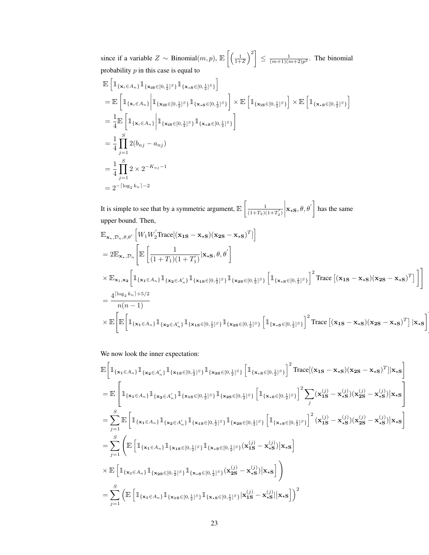since if a variable  $Z \sim \text{Binomial}(m, p)$ ,  $\mathbb{E}\left[\left(\frac{1}{1+Z}\right)^2\right] \leq \frac{1}{(m+1)(m+2)p^2}$ . The binomial probability  $p$  in this case is equal to

$$
\mathbb{E}\left[\mathbb{1}_{\{\mathbf{x}_{i}\in A_{n}\}}\mathbb{1}_{\{\mathbf{x}_{i}\in [0,\frac{1}{2}]^{S}\}}\mathbb{1}_{\{\mathbf{x}_{i}\in [0,\frac{1}{2}]^{S}\}}\right]
$$
\n
$$
= \mathbb{E}\left[\mathbb{1}_{\{\mathbf{x}_{i}\in A_{n}\}}\bigg|\mathbb{1}_{\{\mathbf{x}_{i}\in [0,\frac{1}{2}]^{S}\}}\mathbb{1}_{\{\mathbf{x}_{i}\in [0,\frac{1}{2}]^{S}\}}\right] \times \mathbb{E}\left[\mathbb{1}_{\{\mathbf{x}_{i}\in [0,\frac{1}{2}]^{S}\}}\right] \times \mathbb{E}\left[\mathbb{1}_{\{\mathbf{x}_{i}\in [0,\frac{1}{2}]^{S}\}}\right]
$$
\n
$$
= \frac{1}{4}\mathbb{E}\left[\mathbb{1}_{\{\mathbf{x}_{i}\in A_{n}\}}\bigg|\mathbb{1}_{\{\mathbf{x}_{i}\in [0,\frac{1}{2}]^{S}\}}\mathbb{1}_{\{\mathbf{x}_{i}\in [0,\frac{1}{2}]^{S}\}}\right]
$$
\n
$$
= \frac{1}{4}\prod_{j=1}^{S} 2(b_{nj} - a_{nj})
$$
\n
$$
= \frac{1}{4}\prod_{j=1}^{S} 2 \times 2^{-K_{nj} - 1}
$$
\n
$$
= 2^{-\lceil \log_{2} k_{n} \rceil - 2}
$$

It is simple to see that by a symmetric argument,  $\mathbb{E}\left[\frac{1}{(1+T_0)}\right]$  $\overline{(1+T_2)(1+T_2')}$   $\mathbf{x}_{\star}$  $\mathbf{s}, \theta, \theta'$  has the same upper bound. Then,

$$
\mathbb{E}_{\mathbf{x}_{\star},\mathcal{D}_{n},\theta,\theta'}\left[W_{1}W_{2}^{'}\text{Trace}[(\mathbf{x}_{1S}-\mathbf{x}_{\star S})(\mathbf{x}_{2S}-\mathbf{x}_{\star S})^{T}]\right]
$$
\n
$$
=2\mathbb{E}_{\mathbf{x}_{\star},\mathcal{D}_{n}}\left[\mathbb{E}\left[\frac{1}{(1+T_{1})(1+T_{1}^{'})}|\mathbf{x}_{\star S},\theta,\theta^{'}\right]\right]
$$
\n
$$
\times \mathbb{E}_{\mathbf{x}_{1},\mathbf{x}_{2}}\left[\mathbbm{1}_{\{\mathbf{x}_{1}\in A_{n}\}}\mathbbm{1}_{\{\mathbf{x}_{2}\in A_{n}^{'}\}}\mathbbm{1}_{\{\mathbf{x}_{1S}\in[0,\frac{1}{2}]^{S}\}}\mathbbm{1}_{\{\mathbf{x}_{2S}\in[0,\frac{1}{2}]^{S}\}}\left[\mathbbm{1}_{\{\mathbf{x}_{\star S}\in[0,\frac{1}{2}]^{S}\}}\right]^{2}\text{Trace}\left[(\mathbf{x}_{1S}-\mathbf{x}_{\star S})(\mathbf{x}_{2S}-\mathbf{x}_{\star S})^{T}\right]\right]
$$
\n
$$
=\frac{4^{\left[\log_{2}k_{n}\right]+5/2}}{n(n-1)}
$$
\n
$$
\times \mathbb{E}\left[\mathbb{E}\left[\mathbbm{1}_{\{\mathbf{x}_{1}\in A_{n}\}}\mathbbm{1}_{\{\mathbf{x}_{2}\in A_{n}^{'}\}}\mathbbm{1}_{\{\mathbf{x}_{1S}\in[0,\frac{1}{2}]^{S}\}}\mathbbm{1}_{\{\mathbf{x}_{2S}\in[0,\frac{1}{2}]^{S}\}}\left[\mathbbm{1}_{\{\mathbf{x}_{\star S}\in[0,\frac{1}{2}]^{S}\}}\right]^{2}\text{Trace}\left[(\mathbf{x}_{1S}-\mathbf{x}_{\star S})(\mathbf{x}_{2S}-\mathbf{x}_{\star S})^{T}\right]|\mathbf{x}_{\star S}\right]
$$

#

We now look the inner expectation:

$$
\mathbb{E}\Big[\mathbbm{1}_{\{\mathbf{x}_{1}\in A_{n}\}}\mathbbm{1}_{\{\mathbf{x}_{2}\in A'_{n}\}}\mathbbm{1}_{\{\mathbf{x}_{1}\in [0,\frac{1}{2}]^{S}\}}\mathbbm{1}_{\{\mathbf{x}_{2}\in [0,\frac{1}{2}]^{S}\}}\Big[\mathbbm{1}_{\{\mathbf{x}_{4}\in [0,\frac{1}{2}]^{S}\}}\Big]^2 \text{Trace}[(\mathbf{x}_{1S}-\mathbf{x}_{*S})(\mathbf{x}_{2S}-\mathbf{x}_{*S})^{T}||\mathbf{x}_{*S}\Big]
$$
\n
$$
= \mathbb{E}\Big[\mathbbm{1}_{\{\mathbf{x}_{1}\in A_{n}\}}\mathbbm{1}_{\{\mathbf{x}_{2}\in A'_{n}\}}\mathbbm{1}_{\{\mathbf{x}_{1}\in [0,\frac{1}{2}]^{S}\}}\mathbbm{1}_{\{\mathbf{x}_{2}\in [0,\frac{1}{2}]^{S}\}}\Big[\mathbbm{1}_{\{\mathbf{x}_{*}\in [0,\frac{1}{2}]^{S}\}}\Big]^2 \sum_{j}(\mathbf{x}_{1S}^{(j)}-\mathbf{x}_{*S}^{(j)})(\mathbf{x}_{2S}^{(j)}-\mathbf{x}_{*S}^{(j)})|\mathbf{x}_{*S}\Big]
$$
\n
$$
= \sum_{j=1}^{S} \mathbb{E}\Big[\mathbbm{1}_{\{\mathbf{x}_{1}\in A_{n}\}}\mathbbm{1}_{\{\mathbf{x}_{2}\in A'_{n}\}}\mathbbm{1}_{\{\mathbf{x}_{1}\in [0,\frac{1}{2}]^{S}\}}\mathbbm{1}_{\{\mathbf{x}_{2}\in [0,\frac{1}{2}]^{S}\}}\Big[\mathbbm{1}_{\{\mathbf{x}_{*}\in [0,\frac{1}{2}]^{S}\}}\Big]^2 (\mathbf{x}_{1S}^{(j)}-\mathbf{x}_{*S}^{(j)})(\mathbf{x}_{2S}^{(j)}-\mathbf{x}_{*S}^{(j)})|\mathbf{x}_{*S}\Big]
$$
\n
$$
= \sum_{j=1}^{S} \Big(\mathbb{E}\Big[\mathbbm{1}_{\{\mathbf{x}_{1}\in A_{n}\}}\mathbbm{1}_{\{\mathbf{x}_{2}\in [0,\frac{1}{2}]^{S}\}}\mathbbm{1}_{\{\mathbf{x}_{*}\in [0,\frac{1}{2}]^{S}\}}(\mathbf{x}_{1S}^{(j)}-\mathbf{x}_{*
$$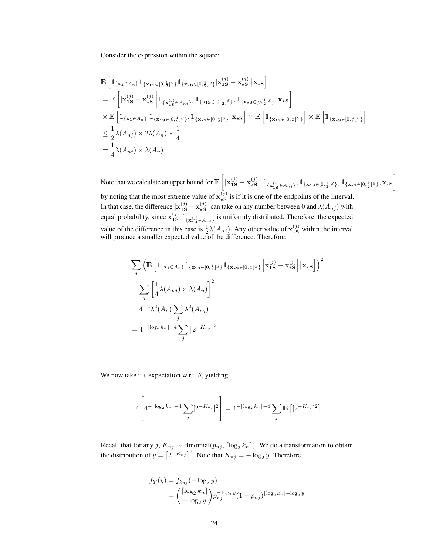Consider the expression within the square:

$$
\mathbb{E}\left[\mathbbm{1}_{\{\mathbf{x}_{1}\in A_{n}\}}\mathbbm{1}_{\{\mathbf{x}_{1}\mathbf{s}\in[0,\frac{1}{2}]^{S}\}}\mathbbm{1}_{\{\mathbf{x}_{\star}\mathbf{s}\in[0,\frac{1}{2}]^{S}\}}|\mathbf{x}_{1\mathbf{S}}^{(j)}-\mathbf{x}_{\star\mathbf{S}}^{(j)}||\mathbf{x}_{\star\mathbf{S}}\right]
$$
\n
$$
= \mathbb{E}\left[\left|\mathbf{x}_{1\mathbf{S}}^{(j)}-\mathbf{x}_{\star\mathbf{S}}^{(j)}\right|\mathbbm{1}_{\{\mathbf{x}_{1\mathbf{S}}\in A_{n,j}\}},\mathbbm{1}_{\{\mathbf{x}_{1\mathbf{S}}\in[0,\frac{1}{2}]^{S}\}},\mathbbm{1}_{\{\mathbf{x}_{\star}\mathbf{s}\in[0,\frac{1}{2}]^{S}\}},\mathbf{x}_{\star\mathbf{S}}\right]
$$
\n
$$
\times \mathbb{E}\left[\mathbbm{1}_{\{\mathbf{x}_{1}\in A_{n}\}}|\mathbbm{1}_{\{\mathbf{x}_{1\mathbf{S}}\in[0,\frac{1}{2}]^{S}\}},\mathbbm{1}_{\{\mathbf{x}_{\star}\mathbf{s}\in[0,\frac{1}{2}]^{S}\}},\mathbf{x}_{\star\mathbf{S}}\right] \times \mathbb{E}\left[\mathbbm{1}_{\{\mathbf{x}_{1\mathbf{S}}\in[0,\frac{1}{2}]^{S}\}}\right] \times \mathbb{E}\left[\mathbbm{1}_{\{\mathbf{x}_{\star}\mathbf{s}\in[0,\frac{1}{2}]^{S}\}}\right]
$$
\n
$$
\leq \frac{1}{2}\lambda(A_{nj}) \times 2\lambda(A_{n}) \times \frac{1}{4}
$$
\n
$$
= \frac{1}{4}\lambda(A_{nj}) \times \lambda(A_{n})
$$

Note that we calculate an upper bound for  $\mathbb{E}\left[|\mathbf{x}_{1\mathbf{S}}^{(j)}-\mathbf{x}_{\star\mathbf{S}}^{(j)}\right]$  $\begin{bmatrix} j) \\ \ast \mathbf{s} \end{bmatrix} \Big| \mathbbm{1}_{\{\mathbf{x}_{\textbf{1S}}(j) \in A_{nj}\}}, \mathbbm{1}_{\{\mathbf{x}_{\textbf{1S}} \in [0, \frac{1}{2}]^S\}}, \mathbbm{1}_{\{\mathbf{x}_{\textbf{1S}} \in [0, \frac{1}{2}]^S\}}, \mathbf{x}_{\textbf{xS}}\Bigg]$  $\vert$ by noting that the most extreme value of  $\mathbf{x}_{\star s}^{(j)}$  $\frac{1}{15}$  is if it is one of the endpoints of the interval. In that case, the difference  $x_{1S}^{(j)} - x_{\star S}^{(j)}$  $\mathcal{L}_{\star S}^{(j)}$  can take on any number between 0 and  $\lambda(A_{nj})$  with equal probability, since  $\mathbf{x}_{1S}^{(j)}|\mathbb{1}_{\{\mathbf{x}_{1S}^{(j)} \in A_{nj}\}}$  is uniformly distributed. Therefore, the expected value of the difference in this case is  $\frac{1}{2}\lambda(A_{nj})$ . Any other value of  $\mathbf{x}_{\star S}^{(j)}$  within the interval will produce a smaller expected value of the difference. Therefore,

$$
\sum_{j} \left( \mathbb{E} \left[ \mathbb{1}_{\{\mathbf{x}_{1} \in A_{n}\}} \mathbb{1}_{\{\mathbf{x}_{1} \in [0, \frac{1}{2}]^{S}\}} \mathbb{1}_{\{\mathbf{x}_{\star} \in [0, \frac{1}{2}]^{S}\}} \left| \mathbf{x}_{1S}^{(j)} - \mathbf{x}_{\star S}^{(j)} \right| \left| \mathbf{x}_{\star S} \right| \right) \right)^{2}
$$
  
\n
$$
= \sum_{j} \left[ \frac{1}{4} \lambda(A_{nj}) \times \lambda(A_{n}) \right]^{2}
$$
  
\n
$$
= 4^{-2} \lambda^{2}(A_{n}) \sum_{j} \lambda^{2}(A_{nj})
$$
  
\n
$$
= 4^{-\lceil \log_{2} k_{n} \rceil - 4} \sum_{j} \left[ 2^{-K_{nj}} \right]^{2}
$$

We now take it's expectation w.r.t.  $\theta$ , yielding

$$
\mathbb{E}\left[4^{-\lceil \log_2 k_n \rceil - 4} \sum_j [2^{-K_{nj}}]^2\right] = 4^{-\lceil \log_2 k_n \rceil - 4} \sum_j \mathbb{E}\left[2^{-K_{nj}}\right]^2
$$

Recall that for any  $j$ ,  $K_{nj} \sim \text{Binomial}(p_{nj}, \lceil \log_2 k_n \rceil)$ . We do a transformation to obtain the distribution of  $y = \left[2^{-K_{nj}}\right]^2$ . Note that  $K_{nj} = -\log_2 y$ . Therefore,

$$
f_Y(y) = f_{k_{nj}}(-\log_2 y)
$$
  
=  $\begin{pmatrix} [\log_2 k_n] \\ -\log_2 y \end{pmatrix} p_{nj}^{-\log_2 y} (1 - p_{nj})^{[\log_2 k_n] + \log_2 y}$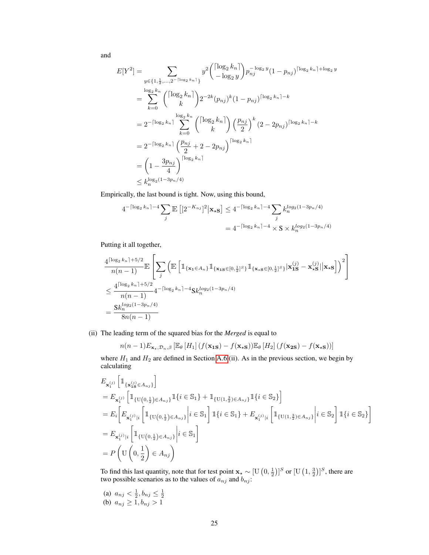and

$$
E[Y^{2}] = \sum_{y \in \{1, \frac{1}{2}, ..., 2^{-\lceil \log_{2} k_{n} \rceil} \}} y^{2} {\binom{\lceil \log_{2} k_{n} \rceil}{-\log_{2} y}} p_{nj}^{-\log_{2} y} (1 - p_{nj})^{\lceil \log_{2} k_{n} \rceil + \log_{2} y}
$$
  
\n
$$
= \sum_{k=0}^{\log_{2} k_{n}} {\binom{\lceil \log_{2} k_{n} \rceil}{k}} 2^{-2k} (p_{nj})^{k} (1 - p_{nj})^{\lceil \log_{2} k_{n} \rceil - k}
$$
  
\n
$$
= 2^{-\lceil \log_{2} k_{n} \rceil} \sum_{k=0}^{\log_{2} k_{n}} {\binom{\lceil \log_{2} k_{n} \rceil}{k}} {\binom{p_{nj}}{2}}^{k} (2 - 2p_{nj})^{\lceil \log_{2} k_{n} \rceil - k}
$$
  
\n
$$
= 2^{-\lceil \log_{2} k_{n} \rceil} {\binom{p_{nj}}{2}} + 2 - 2p_{nj} {\binom{\log_{2} k_{n}}{2}}
$$
  
\n
$$
= \left(1 - \frac{3p_{nj}}{4}\right)^{\lceil \log_{2} k_{n} \rceil}
$$
  
\n
$$
\le k_{n}^{\log_{2} (1 - 3p_{n}/4)}
$$

Empirically, the last bound is tight. Now, using this bound,

$$
4^{-\lceil \log_2 k_n \rceil - 4} \sum_j \mathbb{E} \left[ \left[ 2^{-K_{nj}} \right]^2 \middle| \mathbf{x}_{\star} \mathbf{s} \right] \le 4^{-\lceil \log_2 k_n \rceil - 4} \sum_j k_n^{\log_2(1 - 3p_n/4)}
$$
  
=  $4^{-\lceil \log_2 k_n \rceil - 4} \times \mathbf{S} \times k_n^{\log_2(1 - 3p_n/4)}$ 

Putting it all together,

$$
\frac{4^{\lceil \log_2 k_n \rceil + 5/2}}{n(n-1)} \mathbb{E}\left[\sum_j \left( \mathbb{E}\left[ \mathbb{1}_{\{\mathbf{x}_1 \in A_n\}} \mathbb{1}_{\{\mathbf{x}_1 \leq [0, \frac{1}{2}]^S\}} \mathbb{1}_{\{\mathbf{x}_1 \leq [0, \frac{1}{2}]^S\}} |\mathbf{x}_{1S}^{(j)} - \mathbf{x}_{\star S}^{(j)}| \mathbf{x}_{\star S}\right] \right)^2 \right]
$$
\n
$$
\leq \frac{4^{\lceil \log_2 k_n \rceil + 5/2}}{n(n-1)} 4^{-\lceil \log_2 k_n \rceil - 4} \mathcal{S} k_n^{\log_2(1 - 3p_n/4)}
$$
\n
$$
= \frac{\mathcal{S} k_n^{\log_2(1 - 3p_n/4)}}{8n(n-1)}
$$

(ii) The leading term of the squared bias for the *Merged* is equal to

$$
n(n-1)E_{\mathbf{x}_{\star},\mathcal{D}_n,\beta}\left[\mathbb{E}_{\theta}\left[H_1\right]\left(f(\mathbf{x}_{\mathbf{1S}})-f(\mathbf{x}_{\star\mathbf{S}})\right)\mathbb{E}_{\theta}\left[H_2\right]\left(f(\mathbf{x}_{\mathbf{2S}})-f(\mathbf{x}_{\star\mathbf{S}})\right)\right]
$$

where  $H_1$  and  $H_2$  are defined in Section [A.6](#page-18-0) (ii). As in the previous section, we begin by calculating

$$
\begin{split} &E_{\mathbf{x}_{1}^{(j)}}\left[\mathbbm{1}_{\{\mathbf{x}_{1\mathbf{S}}^{(j)}\in A_{nj}\}}\right] \\ &=E_{\mathbf{x}_{1}^{(j)}}\left[\mathbbm{1}_{\{\mathbf{U}(0,\frac{1}{2})\in A_{nj}\}}\mathbbm{1}\{i\in\mathbb{S}_{1}\}+\mathbbm{1}_{\{\mathbf{U}(1,\frac{3}{2})\in A_{nj}\}}\mathbbm{1}\{i\in\mathbb{S}_{2}\}\right] \\ &=E_{i}\bigg[E_{\mathbf{x}_{1}^{(j)}\mid i}\left[\mathbbm{1}_{\{\mathbf{U}(0,\frac{1}{2})\in A_{nj}\}}\bigg|i\in\mathbb{S}_{1}\right]\mathbbm{1}\{i\in\mathbb{S}_{1}\}+E_{\mathbf{x}_{1}^{(j)}\mid i}\left[\mathbbm{1}_{\{\mathbf{U}(1,\frac{3}{2})\in A_{nj}\}}\bigg|i\in\mathbb{S}_{2}\right]\mathbbm{1}\{i\in\mathbb{S}_{2}\}\bigg] \\ &=E_{\mathbf{x}_{1}^{(j)}\mid i}\left[\mathbbm{1}_{\{\mathbf{U}(0,\frac{1}{2})\in A_{nj}\}}\bigg|i\in\mathbb{S}_{1}\right] \\ &=P\left(\mathbf{U}\left(0,\frac{1}{2}\right)\in A_{nj}\right) \end{split}
$$

To find this last quantity, note that for test point  $\mathbf{x}_\star \sim [\mathbf{U}(0, \frac{1}{2})]^S$  or  $[\mathbf{U}(1, \frac{3}{2})]^S$ , there are two possible scenarios as to the values of  $a_{nj}$  and  $b_{nj}$ :

(a) 
$$
a_{nj} < \frac{1}{2}, b_{nj} \leq \frac{1}{2}
$$

(b) 
$$
a_{nj} \ge 1, b_{nj} > 1
$$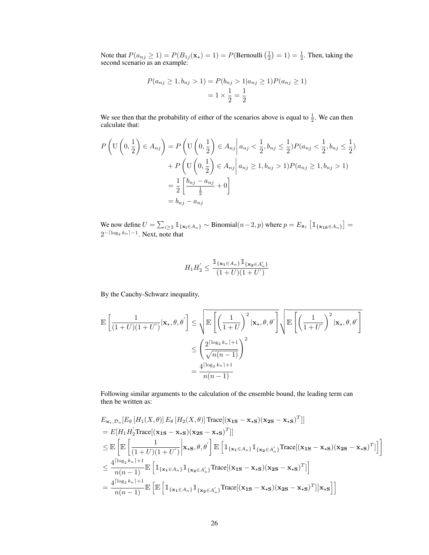Note that  $P(a_{nj} \ge 1) = P(B_{1j}(\mathbf{x}_*) = 1) = P(\text{Bernoulli}(\frac{1}{2}) = 1) = \frac{1}{2}$ . Then, taking the second scenario as an example:

$$
P(a_{nj} \ge 1, b_{nj} > 1) = P(b_{nj} > 1 | a_{nj} \ge 1) P(a_{nj} \ge 1)
$$

$$
= 1 \times \frac{1}{2} = \frac{1}{2}
$$

We see then that the probability of either of the scenarios above is equal to  $\frac{1}{2}$ . We can then calculate that:

$$
P\left(\mathbf{U}\left(0,\frac{1}{2}\right)\in A_{nj}\right) = P\left(\mathbf{U}\left(0,\frac{1}{2}\right)\in A_{nj}\middle|a_{nj}<\frac{1}{2},b_{nj}\le\frac{1}{2}\right)P(a_{nj}<\frac{1}{2},b_{nj}\le\frac{1}{2})
$$

$$
+ P\left(\mathbf{U}\left(0,\frac{1}{2}\right)\in A_{nj}\middle|a_{nj}\ge1,b_{nj}>1\right)P(a_{nj}\ge1,b_{nj}>1)
$$

$$
= \frac{1}{2}\left[\frac{b_{nj}-a_{nj}}{\frac{1}{2}}+0\right]
$$

$$
= b_{nj}-a_{nj}
$$

We now define  $U = \sum_{i \geq 3} \mathbb{1}_{\{\mathbf{x_i} \in A_n\}} \sim \text{Binomial}(n-2, p)$  where  $p = E_{\mathbf{x_1}} \left[ \mathbb{1}_{\{\mathbf{x_{1S}} \in A_n\}} \right] =$  $2^{-\lceil \log_2 k_n \rceil - 1}$ . Next, note that

$$
H_1 H_2' \le \frac{\mathbbm{1}_{\{\mathbf{x}_1 \in A_n\}} \mathbbm{1}_{\{\mathbf{x}_2 \in A_n'\}}}{(1+U)(1+U')}
$$

By the Cauchy-Schwarz inequality,

$$
\mathbb{E}\left[\frac{1}{(1+U)(1+U')}|\mathbf{x}_{\star},\theta,\theta'\right] \leq \sqrt{\mathbb{E}\left[\left(\frac{1}{1+U}\right)^2|\mathbf{x}_{\star},\theta,\theta'\right]}\sqrt{\mathbb{E}\left[\left(\frac{1}{1+U'}\right)^2|\mathbf{x}_{\star},\theta,\theta'\right]}
$$

$$
\leq \left(\frac{2^{\lceil \log_2 k_n \rceil + 1}}{\sqrt{n(n-1)}}\right)^2
$$

$$
= \frac{4^{\lceil \log_2 k_n \rceil + 1}}{n(n-1)}
$$

Following similar arguments to the calculation of the ensemble bound, the leading term can then be written as:

$$
E_{\mathbf{x}_{\star},\mathcal{D}_{n}}[E_{\theta}[H_{1}(X,\theta)] E_{\theta}[H_{2}(X,\theta)] \text{Trace}[(\mathbf{x}_{1S} - \mathbf{x}_{\star S})(\mathbf{x}_{2S} - \mathbf{x}_{\star S})^{T}]]
$$
  
\n
$$
= E[H_{1}H_{2}^{'}\text{Trace}[(\mathbf{x}_{1S} - \mathbf{x}_{\star S})(\mathbf{x}_{2S} - \mathbf{x}_{\star S})^{T}]]
$$
  
\n
$$
\leq E\left[E\left[\frac{1}{(1+U)(1+U^{'})}\bigg|\mathbf{x}_{\star S}, \theta, \theta^{'}\right]\mathbb{E}\left[\mathbb{1}_{\{\mathbf{x}_{1} \in A_{n}\}}\mathbb{1}_{\{\mathbf{x}_{2} \in A_{n}^{'}\}}\text{Trace}[(\mathbf{x}_{1S} - \mathbf{x}_{\star S})(\mathbf{x}_{2S} - \mathbf{x}_{\star S})^{T}]\right]\right]
$$
  
\n
$$
\leq \frac{4^{\lceil \log_{2}k_{n} \rceil + 1}}{n(n-1)} E\left[\mathbb{1}_{\{\mathbf{x}_{1} \in A_{n}\}}\mathbb{1}_{\{\mathbf{x}_{2} \in A_{n}^{'}\}}\text{Trace}[(\mathbf{x}_{1S} - \mathbf{x}_{\star S})(\mathbf{x}_{2S} - \mathbf{x}_{\star S})^{T}]\right]
$$
  
\n
$$
= \frac{4^{\lceil \log_{2}k_{n} \rceil + 1}}{n(n-1)} E\left[\mathbb{E}\left[\mathbb{1}_{\{\mathbf{x}_{1} \in A_{n}\}}\mathbb{1}_{\{\mathbf{x}_{2} \in A_{n}^{'}\}}\text{Trace}[(\mathbf{x}_{1S} - \mathbf{x}_{\star S})(\mathbf{x}_{2S} - \mathbf{x}_{\star S})^{T}]\big|\mathbf{x}_{\star S}\right]\right]
$$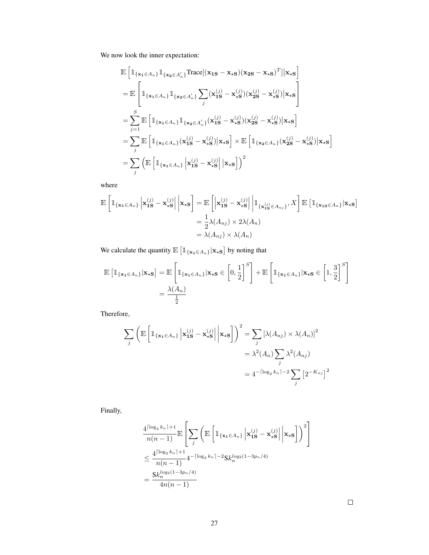We now look the inner expectation:

$$
\mathbb{E}\left[\mathbbm{1}_{\{\mathbf{x}_{1}\in A_{n}\}}\mathbbm{1}_{\{\mathbf{x}_{2}\in A'_{n}\}}\text{Trace}[(\mathbf{x}_{1S}-\mathbf{x}_{\star S})(\mathbf{x}_{2S}-\mathbf{x}_{\star S})^{T}||\mathbf{x}_{\star S}\right]
$$
\n
$$
= \mathbb{E}\left[\mathbbm{1}_{\{\mathbf{x}_{1}\in A_{n}\}}\mathbbm{1}_{\{\mathbf{x}_{2}\in A'_{n}\}}\sum_{j}(\mathbf{x}_{1S}^{(j)}-\mathbf{x}_{\star S}^{(j)})(\mathbf{x}_{2S}^{(j)}-\mathbf{x}_{\star S}^{(j)})|\mathbf{x}_{\star S}\right]
$$
\n
$$
= \sum_{j=1}^{S}\mathbb{E}\left[\mathbbm{1}_{\{\mathbf{x}_{1}\in A_{n}\}}\mathbbm{1}_{\{\mathbf{x}_{2}\in A'_{n}\}}(\mathbf{x}_{1S}^{(j)}-\mathbf{x}_{\star S}^{(j)})(\mathbf{x}_{2S}^{(j)}-\mathbf{x}_{\star S}^{(j)})|\mathbf{x}_{\star S}\right]
$$
\n
$$
= \sum_{j}\mathbb{E}\left[\mathbbm{1}_{\{\mathbf{x}_{1}\in A_{n}\}}(\mathbf{x}_{1S}^{(j)}-\mathbf{x}_{\star S}^{(j)})|\mathbf{x}_{\star S}\right] \times \mathbb{E}\left[\mathbbm{1}_{\{\mathbf{x}_{2}\in A_{n}\}}(\mathbf{x}_{2S}^{(j)}-\mathbf{x}_{\star S}^{(j)})|\mathbf{x}_{\star S}\right]
$$
\n
$$
= \sum_{j}\left(\mathbb{E}\left[\mathbbm{1}_{\{\mathbf{x}_{1}\in A_{n}\}}\left|\mathbf{x}_{1S}^{(j)}-\mathbf{x}_{\star S}^{(j)}\right||\mathbf{x}_{\star S}\right]\right)^{2}
$$

where

$$
\mathbb{E}\left[\mathbb{1}_{\{\mathbf{x}_{1}\in A_{n}\}}\left|\mathbf{x}_{1\mathbf{S}}^{(j)}-\mathbf{x}_{\star\mathbf{S}}^{(j)}\right|\mathbf{x}_{\star\mathbf{S}}\right]=\mathbb{E}\left[\left|\mathbf{x}_{1\mathbf{S}}^{(j)}-\mathbf{x}_{\star\mathbf{S}}^{(j)}\right|\right]\mathbb{1}_{\{\mathbf{x}_{1\mathbf{S}}^{(j)}\in A_{n,j}\}},X\right]\mathbb{E}\left[\mathbb{1}_{\{\mathbf{x}_{1\mathbf{S}}\in A_{n}\}}\left|\mathbf{x}_{\star\mathbf{S}}\right.\right]
$$

$$
=\frac{1}{2}\lambda(A_{nj})\times 2\lambda(A_{n})
$$

$$
=\lambda(A_{nj})\times \lambda(A_{n})
$$

We calculate the quantity  $\mathbb{E} \left[ \mathbb{1}_{\{\mathbf{x}_1 \in A_n\}} | \mathbf{x}_\star \mathbf{s} \right]$  by noting that

$$
\mathbb{E}\left[\mathbb{1}_{\{\mathbf{x}_{1}\in A_{n}\}}|\mathbf{x}_{\star}\mathbf{s}\right] = \mathbb{E}\left[\mathbb{1}_{\{\mathbf{x}_{1}\in A_{n}\}}|\mathbf{x}_{\star}\mathbf{s}\in\left[0,\frac{1}{2}\right]^{S}\right] + \mathbb{E}\left[\mathbb{1}_{\{\mathbf{x}_{1}\in A_{n}\}}|\mathbf{x}_{\star}\mathbf{s}\in\left[1,\frac{3}{2}\right]^{S}\right]
$$

$$
=\frac{\lambda(A_{n})}{\frac{1}{2}}
$$

Therefore,

$$
\sum_{j} \left( \mathbb{E} \left[ \mathbb{1}_{\{\mathbf{x}_{1} \in A_{n}\}} \left| \mathbf{x}_{1S}^{(j)} - \mathbf{x}_{\star S}^{(j)} \right| \middle| \mathbf{x}_{\star S} \right] \right)^{2} = \sum_{j} \left[ \lambda(A_{nj}) \times \lambda(A_{n}) \right]^{2}
$$

$$
= \lambda^{2}(A_{n}) \sum_{j} \lambda^{2}(A_{nj})
$$

$$
= 4^{-\lceil \log_{2} k_{n} \rceil - 2} \sum_{j} \left[ 2^{-K_{nj}} \right]^{2}
$$

Finally,

$$
\frac{4^{\lceil \log_2 k_n \rceil + 1}}{n(n-1)} \mathbb{E}\left[\sum_j \left( \mathbb{E}\left[ \mathbb{1}_{\{\mathbf{x}_1 \in A_n\}} \left| \mathbf{x}_{1S}^{(j)} - \mathbf{x}_{\star S}^{(j)} \right| \Big| \mathbf{x}_{\star S} \right] \right)^2 \right]
$$
\n
$$
\leq \frac{4^{\lceil \log_2 k_n \rceil + 1}}{n(n-1)} 4^{-\lceil \log_2 k_n \rceil - 2} \text{Sk}_n^{\log_2(1 - 3p_n/4)}
$$
\n
$$
= \frac{\text{Sk}_n^{\log_2(1 - 3p_n/4)}}{4n(n-1)}
$$

 $\Box$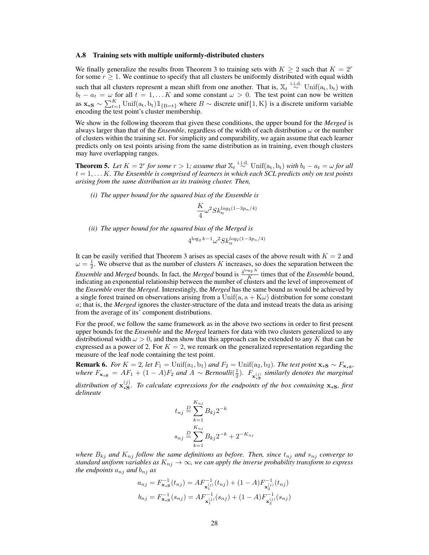#### A.8 Training sets with multiple uniformly-distributed clusters

We finally generalize the results from Theorem 3 to training sets with  $K \geq 2$  such that  $K = 2<sup>r</sup>$ for some  $r \geq 1$ . We continue to specify that all clusters be uniformly distributed with equal width such that all clusters represent a mean shift from one another. That is,  $\mathbb{X}_t \stackrel{\text{i.i.d.}}{\sim} \text{Unif}(\mathbf{a}_t, \mathbf{b}_t)$  with  $b_t - a_t = \omega$  for all  $t = 1, \dots K$  and some constant  $\omega > 0$ . The test point can now be written as  $\mathbf{x}_{\star}$ s ∼  $\sum_{t=1}^{K}$ Unif $(a_t, b_t)1\!\!1_{\{B=t\}}$  where  $B \sim$  discrete unif $\{1, K\}$  is a discrete uniform variable encoding the test point's cluster membership.

We show in the following theorem that given these conditions, the upper bound for the *Merged* is always larger than that of the *Ensemble*, regardless of the width of each distribution ω or the number of clusters within the training set. For simplicity and comparability, we again assume that each learner predicts only on test points arising from the same distribution as in training, even though clusters may have overlapping ranges.

<span id="page-27-0"></span>**Theorem 5.** Let  $K = 2^r$  for some  $r > 1$ ; assume that  $\mathbb{X}_t \stackrel{\text{i.i.d.}}{\sim}$  Unif $(a_t, b_t)$  with  $b_t - a_t = \omega$  for all  $t = 1, \ldots K$ . The Ensemble is comprised of learners in which each  $\overline{SCL}$  predicts only on test points *arising from the same distribution as its training cluster. Then,*

*(i) The upper bound for the squared bias of the Ensemble is*

$$
\frac{K}{4}\omega^2 Sk_n^{log_2(1-3p_n/4)}
$$

*(ii) The upper bound for the squared bias of the Merged is*

$$
4^{\log_2 k - 1} \omega^2 Sk_n^{\log_2(1 - 3p_n/4)}
$$

It can be easily verified that Theorem 3 arises as special cases of the above result with  $K = 2$  and  $\omega = \frac{1}{2}$ . We observe that as the number of clusters K increases, so does the separation between the  $\omega$  – <sub>2</sub>. We observe that as the nanneer of erasters *A* interests, *s*<br>*Ensemble* and *Merged* bounds. In fact, the *Merged* bound is  $\frac{4^{\log_2 K}}{K}$  $\frac{g_2}{K}$  times that of the *Ensemble* bound, indicating an exponential relationship between the number of clusters and the level of improvement of the *Ensemble* over the *Merged*. Interestingly, the *Merged* has the same bound as would be achieved by a single forest trained on observations arising from a Unif(a,  $a + K\omega$ ) distribution for some constant a; that is, the *Merged* ignores the cluster-structure of the data and instead treats the data as arising from the average of its' component distributions.

For the proof, we follow the same framework as in the above two sections in order to first present upper bounds for the *Ensemble* and the *Merged* learners for data with two clusters generalized to any distributional width  $\omega > 0$ , and then show that this approach can be extended to any K that can be expressed as a power of 2. For  $K = 2$ , we remark on the generalized representation regarding the measure of the leaf node containing the test point.

**Remark 6.** *For*  $K = 2$ , *let*  $F_1 = \text{Unif}(a_1, b_1)$  *and*  $F_2 = \text{Unif}(a_2, b_2)$ *. The test point*  $\mathbf{x}_{\star S} \sim F_{\mathbf{x}_{\star S}}$ *, where*  $F_{\mathbf{x}_{\star S}} = AF_1 + (1 - A)F_2$  *and*  $A \sim Bernoulli(\frac{1}{2})$ *.*  $F_{\mathbf{x}_{\star S}}^{(j)}$  *similarly denotes the marginal* distribution of  $\mathbf{x}_{\star S}^{(j)}$  $\mathcal{L}_{\mathbf{s}}^{(j)}$ . To calculate expressions for the endpoints of the box containing  $\mathbf{x}_{\mathbf{s}}\mathbf{s}$ , first *delineate*

$$
t_{nj} \stackrel{D}{=} \sum_{k=1}^{K_{nj}} B_{kj} 2^{-k}
$$
  

$$
s_{nj} \stackrel{D}{=} \sum_{k=1}^{K_{nj}} B_{kj} 2^{-k} + 2^{-K_{nj}}
$$

*where*  $B_{kj}$  *and*  $K_{nj}$  *follow the same definitions as before. Then, since*  $t_{nj}$  *and*  $s_{nj}$  *converge to standard uniform variables as*  $K_{nj} \to \infty$ *, we can apply the inverse probability transform to express the endpoints*  $a_{nj}$  *and*  $b_{nj}$  *as* 

$$
a_{nj} = F_{\mathbf{x},\mathbf{s}}^{-1}(t_{nj}) = AF_{\mathbf{x}_1^{(j)}}^{-1}(t_{nj}) + (1 - A)F_{\mathbf{x}_2^{(j)}}^{-1}(t_{nj})
$$
  

$$
b_{nj} = F_{\mathbf{x},\mathbf{s}}^{-1}(s_{nj}) = AF_{\mathbf{x}_1^{(j)}}^{-1}(s_{nj}) + (1 - A)F_{\mathbf{x}_2^{(j)}}^{-1}(s_{nj})
$$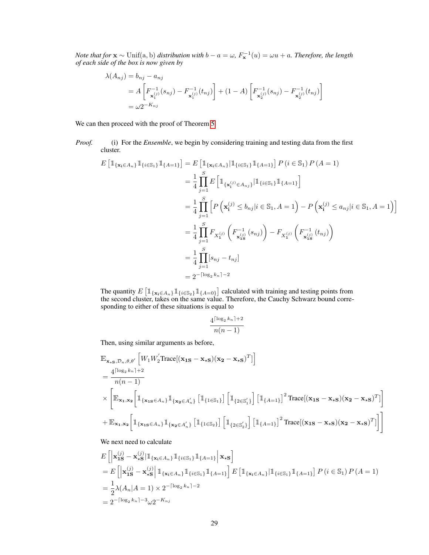*Note that for*  $\mathbf{x} \sim \text{Unif(a, b)}$  *distribution with*  $b - a = \omega$ ,  $F_{\mathbf{x}}^{-1}(u) = \omega u + a$ . *Therefore, the length of each side of the box is now given by*

$$
\lambda(A_{nj}) = b_{nj} - a_{nj}
$$
  
=  $A \left[ F_{\mathbf{x}_1^{(j)}}^{-1} (s_{nj}) - F_{\mathbf{x}_1^{(j)}}^{-1} (t_{nj}) \right] + (1 - A) \left[ F_{\mathbf{x}_2^{(j)}}^{-1} (s_{nj}) - F_{\mathbf{x}_2^{(j)}}^{-1} (t_{nj}) \right]$   
=  $\omega 2^{-K_{nj}}$ 

We can then proceed with the proof of Theorem [5.](#page-27-0)

*Proof.* (i) For the *Ensemble*, we begin by considering training and testing data from the first cluster.

$$
E\left[\mathbb{1}_{\{\mathbf{x}_{i}\in A_{n}\}}\mathbb{1}_{\{i\in\mathbb{S}_{1}\}}\mathbb{1}_{\{A=1\}}\right] = E\left[\mathbb{1}_{\{\mathbf{x}_{i}\in A_{n}\}}\mathbb{1}_{\{i\in\mathbb{S}_{1}\}}\mathbb{1}_{\{A=1\}}\right]P(i \in \mathbb{S}_{1})P(A=1)
$$
  
\n
$$
= \frac{1}{4}\prod_{j=1}^{S} E\left[\mathbb{1}_{\{\mathbf{x}_{i}^{(j)}\in A_{n,j}\}}\mathbb{1}_{\{i\in\mathbb{S}_{1}\}}\mathbb{1}_{\{A=1\}}\right]
$$
  
\n
$$
= \frac{1}{4}\prod_{j=1}^{S}\left[P\left(\mathbf{x}_{i}^{(j)} \le b_{n,j}|i \in \mathbb{S}_{1}, A=1\right) - P\left(\mathbf{x}_{i}^{(j)} \le a_{n,j}|i \in \mathbb{S}_{1}, A=1\right)\right]
$$
  
\n
$$
= \frac{1}{4}\prod_{j=1}^{S} F_{X_{1}^{(j)}}\left(F_{X_{18}^{(j)}}^{-1}(s_{n,j})\right) - F_{X_{1}^{(j)}}\left(F_{X_{18}^{(j)}}^{-1}(t_{n,j})\right)
$$
  
\n
$$
= \frac{1}{4}\prod_{j=1}^{S}[s_{n,j} - t_{n,j}]
$$
  
\n
$$
= 2^{-\lceil \log_{2}k_{n} \rceil - 2}
$$

The quantity  $E\left[\mathbb{1}_{\{\mathbf{x_i} \in A_n\}} \mathbb{1}_{\{i \in \mathbb{S}_2\}} \mathbb{1}_{\{A=0\}}\right]$  calculated with training and testing points from the second cluster, takes on the same value. Therefore, the Cauchy Schwarz bound corresponding to either of these situations is equal to

$$
\frac{4^{\lceil \log_2 k_n \rceil + 2}}{n(n-1)}
$$

Then, using similar arguments as before,

$$
\mathbb{E}_{\mathbf{x}_{\star S}, \mathcal{D}_n, \theta, \theta'} \left[ W_1 W_2' \text{Trace}[(\mathbf{x}_{1S} - \mathbf{x}_{\star S})(\mathbf{x}_{2} - \mathbf{x}_{\star S})^T] \right]
$$
\n
$$
= \frac{4^{\lceil \log_2 k_n \rceil + 2}}{n(n - 1)} \times \left[ \mathbb{E}_{\mathbf{x}_{1}, \mathbf{x}_{2}} \left[ \mathbbm{1}_{\{\mathbf{x}_{1S} \in A_n\}} \mathbbm{1}_{\{\mathbf{x}_{2} \in A_n'\}} \left[ \mathbbm{1}_{\{1 \in \mathbb{S}_1\}} \right] \left[ \mathbbm{1}_{\{2 \in \mathbb{S}_1'\}} \right] \left[ \mathbbm{1}_{\{A = 1\}} \right]^2 \text{Trace}[(\mathbf{x}_{1S} - \mathbf{x}_{\star S})(\mathbf{x}_{2} - \mathbf{x}_{\star S})^T] \right]
$$
\n
$$
+ \mathbb{E}_{\mathbf{x}_{1}, \mathbf{x}_{2}} \left[ \mathbbm{1}_{\{\mathbf{x}_{1S} \in A_n\}} \mathbbm{1}_{\{\mathbf{x}_{2} \in A_n'\}} \left[ \mathbbm{1}_{\{1 \in \mathbb{S}_2\}} \right] \left[ \mathbbm{1}_{\{2 \in \mathbb{S}_2'\}} \right] \left[ \mathbbm{1}_{\{A = 1\}} \right]^2 \text{Trace}[(\mathbf{x}_{1S} - \mathbf{x}_{\star S})(\mathbf{x}_{2} - \mathbf{x}_{\star S})^T] \right]
$$

#### We next need to calculate

$$
E\left[\left|\mathbf{x}_{1S}^{(j)} - \mathbf{x}_{\star S}^{(j)}\right| \mathbbm{1}_{\{\mathbf{x}_{i} \in A_{n}\}} \mathbbm{1}_{\{i \in S_{1}\}} \mathbbm{1}_{\{A=1\}}\right| \mathbf{x}_{\star S}\right]
$$
  
\n
$$
= E\left[\left|\mathbf{x}_{1S}^{(j)} - \mathbf{x}_{\star S}^{(j)}\right| \mathbbm{1}_{\{\mathbf{x}_{i} \in A_{n}\}} \mathbbm{1}_{\{i \in S_{1}\}} \mathbbm{1}_{\{A=1\}}\right] E\left[\mathbbm{1}_{\{\mathbf{x}_{i} \in A_{n}\}} \mathbbm{1}_{\{i \in S_{1}\}} \mathbbm{1}_{\{A=1\}}\right] P(i \in S_{1}) P(A = 1)
$$
  
\n
$$
= \frac{1}{2} \lambda(A_{n}|A = 1) \times 2^{-\lceil \log_{2} k_{n} \rceil - 2}
$$
  
\n
$$
= 2^{-\lceil \log_{2} k_{n} \rceil - 3} \omega 2^{-K_{nj}}
$$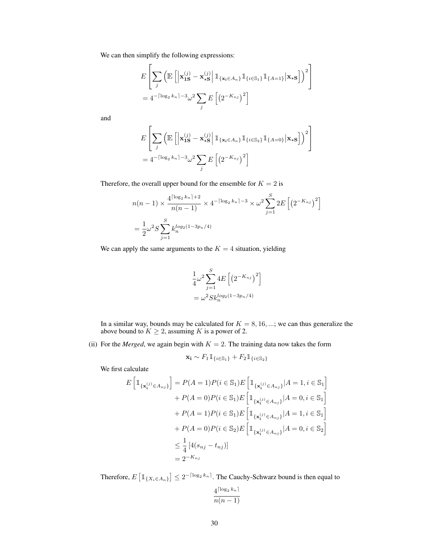We can then simplify the following expressions:

$$
E\left[\sum_{j} \left(\mathbb{E}\left[\left|\mathbf{x}_{1S}^{(j)} - \mathbf{x}_{\star S}^{(j)}\right| \mathbb{1}_{\{\mathbf{x}_{i} \in A_{n}\}} \mathbb{1}_{\{i \in S_{1}\}} \mathbb{1}_{\{A=1\}} \big| \mathbf{x}_{\star S}\right]\right)^{2}\right]
$$
  
=  $4^{-\lceil \log_{2} k_{n} \rceil - 3} \omega^{2} \sum_{j} E\left[\left(2^{-K_{nj}}\right)^{2}\right]$ 

and

$$
E\left[\sum_{j} \left(\mathbb{E}\left[\left|\mathbf{x}_{1S}^{(j)} - \mathbf{x}_{\star S}^{(j)}\right| \mathbb{1}_{\{\mathbf{x}_{i} \in A_{n}\}} \mathbb{1}_{\{i \in S_{2}\}} \mathbb{1}_{\{A=0\}} \middle| \mathbf{x}_{\star S}\right]\right)^{2}\right]
$$
  
=  $4^{-\lceil \log_{2} k_{n} \rceil - 3} \omega^{2} \sum_{j} E\left[\left(2^{-K_{nj}}\right)^{2}\right]$ 

Therefore, the overall upper bound for the ensemble for  $K = 2$  is

$$
n(n-1) \times \frac{4^{\lceil \log_2 k_n \rceil + 2}}{n(n-1)} \times 4^{-\lceil \log_2 k_n \rceil - 3} \times \omega^2 \sum_{j=1}^S 2E\left[ \left( 2^{-K_{nj}} \right)^2 \right]
$$
  
= 
$$
\frac{1}{2} \omega^2 S \sum_{j=1}^S k_n^{\log_2(1 - 3p_n/4)}
$$

We can apply the same arguments to the  $K = 4$  situation, yielding

$$
\frac{1}{4}\omega^2 \sum_{j=1}^{S} 4E \left[ \left( 2^{-K_{nj}} \right)^2 \right]
$$
  
=  $\omega^2 S k_n^{log_2(1-3p_n/4)}$ 

In a similar way, bounds may be calculated for  $K = 8, 16, \dots$ ; we can thus generalize the above bound to  $K \geq 2$ , assuming K is a power of 2.

(ii) For the *Merged*, we again begin with  $K = 2$ . The training data now takes the form

$$
\mathbf{x_i} \sim F_1 \mathbb{1}_{\{i \in \mathbb{S}_1\}} + F_2 \mathbb{1}_{\{i \in \mathbb{S}_2\}}
$$

We first calculate

$$
E\left[\mathbb{1}_{\{\mathbf{x}_{i}^{(j)} \in A_{nj}\}}\right] = P(A = 1)P(i \in \mathbb{S}_{1})E\left[\mathbb{1}_{\{\mathbf{x}_{i}^{(j)} \in A_{nj}\}}|A = 1, i \in \mathbb{S}_{1}\right] + P(A = 0)P(i \in \mathbb{S}_{1})E\left[\mathbb{1}_{\{\mathbf{x}_{i}^{(j)} \in A_{nj}\}}|A = 0, i \in \mathbb{S}_{1}\right] + P(A = 1)P(i \in \mathbb{S}_{1})E\left[\mathbb{1}_{\{\mathbf{x}_{i}^{(j)} \in A_{nj}\}}|A = 1, i \in \mathbb{S}_{1}\right] + P(A = 0)P(i \in \mathbb{S}_{2})E\left[\mathbb{1}_{\{\mathbf{x}_{i}^{(j)} \in A_{nj}\}}|A = 0, i \in \mathbb{S}_{2}\right] \leq \frac{1}{4}\left[4(s_{nj} - t_{nj})\right] = 2^{-K_{nj}}
$$

Therefore,  $E\left[\mathbb{1}_{\{X_i \in A_n\}}\right] \leq 2^{-\lceil \log_2 k_n \rceil}$ . The Cauchy-Schwarz bound is then equal to

$$
\frac{4^{\lceil \log_2 k_n \rceil}}{n(n-1)}
$$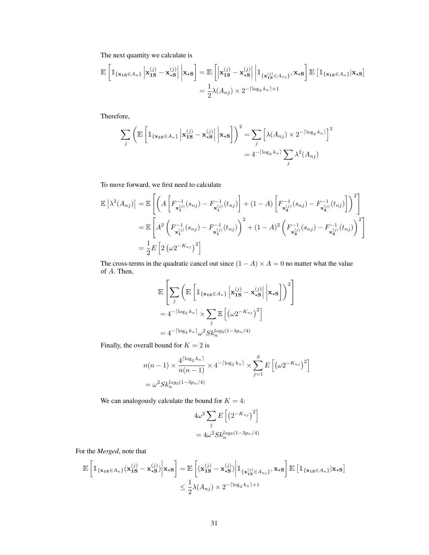The next quantity we calculate is

$$
\mathbb{E}\left[\mathbb{1}_{\{\mathbf{x}_{1S}\in A_{n}\}}\left|\mathbf{x}_{1S}^{(j)}-\mathbf{x}_{\star S}^{(j)}\right|\bigg|\mathbf{x}_{\star S}\right] = \mathbb{E}\left[\left|\mathbf{x}_{1S}^{(j)}-\mathbf{x}_{\star S}^{(j)}\right|\bigg|\mathbb{1}_{\{\mathbf{x}_{1S}^{(j)}\in A_{nj}\}},\mathbf{x}_{\star S}\right] \mathbb{E}\left[\mathbb{1}_{\{\mathbf{x}_{1S}\in A_{n}\}}\big|\mathbf{x}_{\star S}\right]
$$

$$
= \frac{1}{2}\lambda(A_{nj}) \times 2^{-\lceil \log_{2}k_{n}\rceil+1}
$$

Therefore,

$$
\sum_{j} \left( \mathbb{E} \left[ \mathbb{1}_{\{\mathbf{x}_{1S} \in A_{n}\}} \left| \mathbf{x}_{1S}^{(j)} - \mathbf{x}_{\star S}^{(j)} \right| \middle| \mathbf{x}_{\star S} \right] \right)^{2} = \sum_{j} \left[ \lambda(A_{nj}) \times 2^{-\lceil \log_{2} k_{n} \rceil} \right]^{2}
$$

$$
= 4^{-\lceil \log_{2} k_{n} \rceil} \sum_{j} \lambda^{2}(A_{nj})
$$

To move forward, we first need to calculate

$$
\mathbb{E}\left[\lambda^{2}(A_{nj})\right] = \mathbb{E}\left[\left(A\left[F_{\mathbf{x}_{1}^{(j)}}^{-1}(s_{nj}) - F_{\mathbf{x}_{1}^{(j)}}^{-1}(t_{nj})\right] + (1-A)\left[F_{\mathbf{x}_{2}^{(j)}}^{-1}(s_{nj}) - F_{\mathbf{x}_{2}^{(j)}}^{-1}(t_{nj})\right]\right)^{2}\right]
$$
\n
$$
= \mathbb{E}\left[A^{2}\left(F_{\mathbf{x}_{1}^{(j)}}^{-1}(s_{nj}) - F_{\mathbf{x}_{1}^{(j)}}^{-1}(t_{nj})\right)^{2} + (1-A)^{2}\left(F_{\mathbf{x}_{2}^{(j)}}^{-1}(s_{nj}) - F_{\mathbf{x}_{2}^{(j)}}^{-1}(t_{nj})\right)^{2}\right]
$$
\n
$$
= \frac{1}{2}E\left[2\left(\omega^{2-K_{nj}}\right)^{2}\right]
$$

The cross-terms in the quadratic cancel out since  $(1 - A) \times A = 0$  no matter what the value of A. Then,

$$
\mathbb{E}\left[\sum_{j}\left(\mathbb{E}\left[\mathbbm{1}_{\{\mathbf{x}_{1S}\in A_{n}\}}\left|\mathbf{x}_{1S}^{(j)}-\mathbf{x}_{\star S}^{(j)}\right|\Big|\mathbf{x}_{\star S}\right]\right)^{2}\right]
$$
\n
$$
=4^{-\lceil\log_{2}k_{n}\rceil}\times\sum_{j}\mathbb{E}\left[\left(\omega2^{-K_{nj}}\right)^{2}\right]
$$
\n
$$
=4^{-\lceil\log_{2}k_{n}\rceil}\omega^{2}Sk_{n}^{log_{2}(1-3p_{n}/4)}
$$

Finally, the overall bound for  $K = 2$  is

$$
n(n-1) \times \frac{4^{\lceil \log_2 k_n \rceil}}{n(n-1)} \times 4^{-\lceil \log_2 k_n \rceil} \times \sum_{j=1}^{S} E\left[ \left( \omega 2^{-K_{nj}} \right)^2 \right]
$$
  
=  $\omega^2 Sh_n^{\log_2(1-3p_n/4)}$ 

We can analogously calculate the bound for  $K = 4$ :

$$
4\omega^2 \sum_j E\left[\left(2^{-K_{nj}}\right)^2\right]
$$

$$
= 4\omega^2 Sk_n^{\log_2(1-3p_n/4)}
$$

For the *Merged*, note that

$$
\mathbb{E}\left[\mathbb{1}_{\{\mathbf{x}_{1S}\in A_{n}\}}(\mathbf{x}_{1S}^{(j)}-\mathbf{x}_{\star S}^{(j)})\bigg|\mathbf{x}_{\star S}\right] = \mathbb{E}\left[(\mathbf{x}_{1S}^{(j)}-\mathbf{x}_{\star S}^{(j)})\bigg|\mathbb{1}_{\{\mathbf{x}_{1S}^{(j)}\in A_{n,j}\}},\mathbf{x}_{\star S}\right]\mathbb{E}\left[\mathbb{1}_{\{\mathbf{x}_{1S}\in A_{n}\}}\big|\mathbf{x}_{\star S}\right]
$$

$$
\leq \frac{1}{2}\lambda(A_{nj}) \times 2^{-\lceil \log_{2}k_{n}\rceil+1}
$$